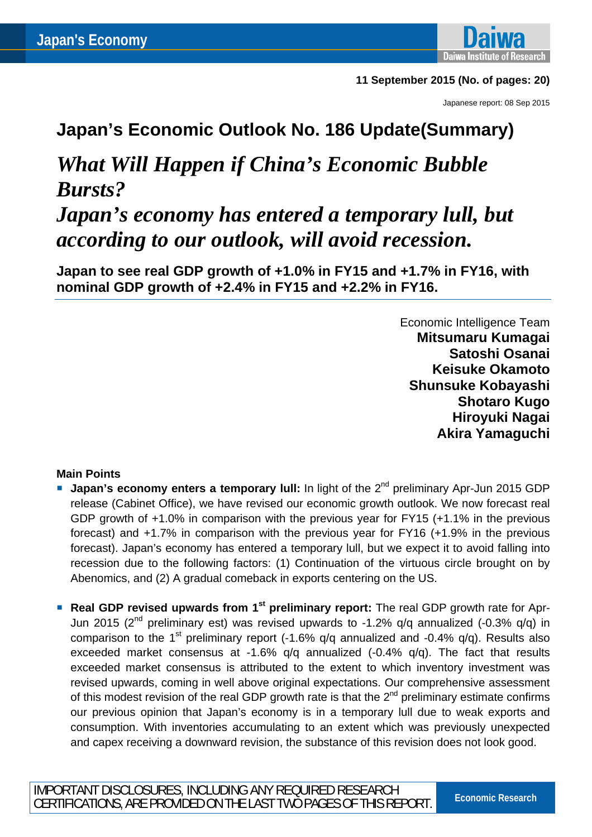

### **11 September 2015 (No. of pages: 20)**

Japanese report: 08 Sep 2015

### **Japan's Economic Outlook No. 186 Update(Summary)**

# *What Will Happen if China's Economic Bubble Bursts?*

## *Japan's economy has entered a temporary lull, but according to our outlook, will avoid recession.*

**Japan to see real GDP growth of +1.0% in FY15 and +1.7% in FY16, with nominal GDP growth of +2.4% in FY15 and +2.2% in FY16.** 

> Economic Intelligence Team **Mitsumaru Kumagai Satoshi Osanai Keisuke Okamoto Shunsuke Kobayashi Shotaro Kugo Hiroyuki Nagai Akira Yamaguchi**

### **Main Points**

- **Japan's economy enters a temporary lull:** In light of the 2<sup>nd</sup> preliminary Apr-Jun 2015 GDP release (Cabinet Office), we have revised our economic growth outlook. We now forecast real GDP growth of +1.0% in comparison with the previous year for FY15 (+1.1% in the previous forecast) and +1.7% in comparison with the previous year for FY16 (+1.9% in the previous forecast). Japan's economy has entered a temporary lull, but we expect it to avoid falling into recession due to the following factors: (1) Continuation of the virtuous circle brought on by Abenomics, and (2) A gradual comeback in exports centering on the US.
- **Real GDP revised upwards from 1<sup>st</sup> preliminary report:** The real GDP growth rate for Apr-Jun 2015 ( $2<sup>nd</sup>$  preliminary est) was revised upwards to -1.2% q/q annualized (-0.3% q/q) in comparison to the 1<sup>st</sup> preliminary report (-1.6%  $q/q$  annualized and -0.4%  $q/q$ ). Results also exceeded market consensus at -1.6% q/q annualized (-0.4% q/q). The fact that results exceeded market consensus is attributed to the extent to which inventory investment was revised upwards, coming in well above original expectations. Our comprehensive assessment of this modest revision of the real GDP growth rate is that the  $2<sup>nd</sup>$  preliminary estimate confirms our previous opinion that Japan's economy is in a temporary lull due to weak exports and consumption. With inventories accumulating to an extent which was previously unexpected and capex receiving a downward revision, the substance of this revision does not look good.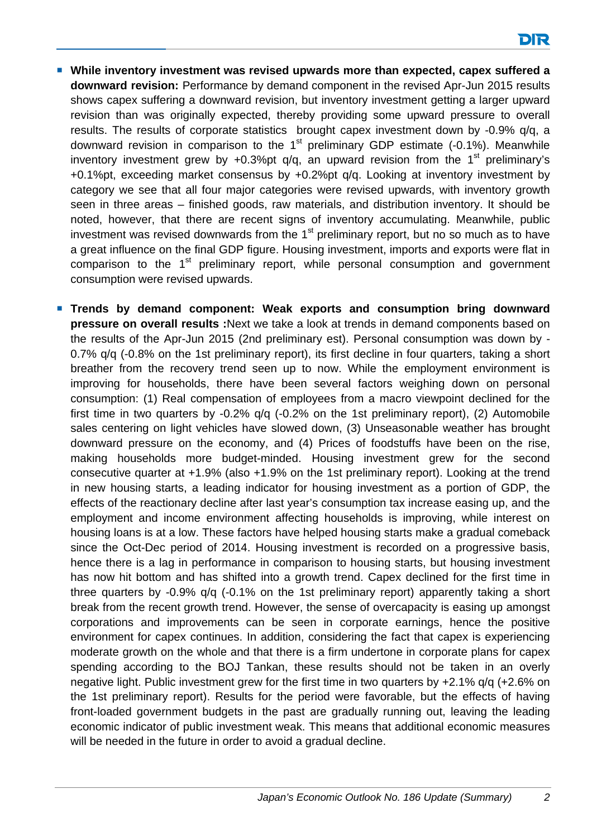- **While inventory investment was revised upwards more than expected, capex suffered a downward revision:** Performance by demand component in the revised Apr-Jun 2015 results shows capex suffering a downward revision, but inventory investment getting a larger upward revision than was originally expected, thereby providing some upward pressure to overall results. The results of corporate statistics brought capex investment down by -0.9% q/q, a downward revision in comparison to the  $1<sup>st</sup>$  preliminary GDP estimate (-0.1%). Meanwhile inventory investment grew by  $+0.3\%$  pt q/q, an upward revision from the 1<sup>st</sup> preliminary's +0.1%pt, exceeding market consensus by +0.2%pt q/q. Looking at inventory investment by category we see that all four major categories were revised upwards, with inventory growth seen in three areas – finished goods, raw materials, and distribution inventory. It should be noted, however, that there are recent signs of inventory accumulating. Meanwhile, public investment was revised downwards from the  $1<sup>st</sup>$  preliminary report, but no so much as to have a great influence on the final GDP figure. Housing investment, imports and exports were flat in comparison to the  $1<sup>st</sup>$  preliminary report, while personal consumption and government consumption were revised upwards.
- **Trends by demand component: Weak exports and consumption bring downward pressure on overall results :**Next we take a look at trends in demand components based on the results of the Apr-Jun 2015 (2nd preliminary est). Personal consumption was down by - 0.7% q/q (-0.8% on the 1st preliminary report), its first decline in four quarters, taking a short breather from the recovery trend seen up to now. While the employment environment is improving for households, there have been several factors weighing down on personal consumption: (1) Real compensation of employees from a macro viewpoint declined for the first time in two quarters by -0.2% q/q (-0.2% on the 1st preliminary report), (2) Automobile sales centering on light vehicles have slowed down, (3) Unseasonable weather has brought downward pressure on the economy, and (4) Prices of foodstuffs have been on the rise, making households more budget-minded. Housing investment grew for the second consecutive quarter at +1.9% (also +1.9% on the 1st preliminary report). Looking at the trend in new housing starts, a leading indicator for housing investment as a portion of GDP, the effects of the reactionary decline after last year's consumption tax increase easing up, and the employment and income environment affecting households is improving, while interest on housing loans is at a low. These factors have helped housing starts make a gradual comeback since the Oct-Dec period of 2014. Housing investment is recorded on a progressive basis, hence there is a lag in performance in comparison to housing starts, but housing investment has now hit bottom and has shifted into a growth trend. Capex declined for the first time in three quarters by -0.9% q/q (-0.1% on the 1st preliminary report) apparently taking a short break from the recent growth trend. However, the sense of overcapacity is easing up amongst corporations and improvements can be seen in corporate earnings, hence the positive environment for capex continues. In addition, considering the fact that capex is experiencing moderate growth on the whole and that there is a firm undertone in corporate plans for capex spending according to the BOJ Tankan, these results should not be taken in an overly negative light. Public investment grew for the first time in two quarters by +2.1% q/q (+2.6% on the 1st preliminary report). Results for the period were favorable, but the effects of having front-loaded government budgets in the past are gradually running out, leaving the leading economic indicator of public investment weak. This means that additional economic measures will be needed in the future in order to avoid a gradual decline.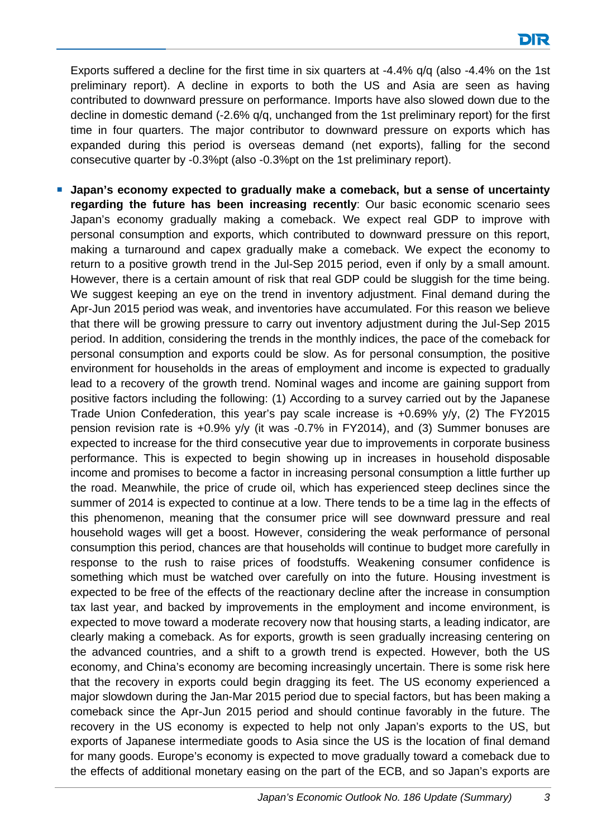Exports suffered a decline for the first time in six quarters at -4.4% q/q (also -4.4% on the 1st preliminary report). A decline in exports to both the US and Asia are seen as having contributed to downward pressure on performance. Imports have also slowed down due to the decline in domestic demand (-2.6% q/q, unchanged from the 1st preliminary report) for the first time in four quarters. The major contributor to downward pressure on exports which has expanded during this period is overseas demand (net exports), falling for the second consecutive quarter by -0.3%pt (also -0.3%pt on the 1st preliminary report).

**Japan's economy expected to gradually make a comeback, but a sense of uncertainty regarding the future has been increasing recently**: Our basic economic scenario sees Japan's economy gradually making a comeback. We expect real GDP to improve with personal consumption and exports, which contributed to downward pressure on this report, making a turnaround and capex gradually make a comeback. We expect the economy to return to a positive growth trend in the Jul-Sep 2015 period, even if only by a small amount. However, there is a certain amount of risk that real GDP could be sluggish for the time being. We suggest keeping an eye on the trend in inventory adjustment. Final demand during the Apr-Jun 2015 period was weak, and inventories have accumulated. For this reason we believe that there will be growing pressure to carry out inventory adjustment during the Jul-Sep 2015 period. In addition, considering the trends in the monthly indices, the pace of the comeback for personal consumption and exports could be slow. As for personal consumption, the positive environment for households in the areas of employment and income is expected to gradually lead to a recovery of the growth trend. Nominal wages and income are gaining support from positive factors including the following: (1) According to a survey carried out by the Japanese Trade Union Confederation, this year's pay scale increase is +0.69% y/y, (2) The FY2015 pension revision rate is +0.9% y/y (it was -0.7% in FY2014), and (3) Summer bonuses are expected to increase for the third consecutive year due to improvements in corporate business performance. This is expected to begin showing up in increases in household disposable income and promises to become a factor in increasing personal consumption a little further up the road. Meanwhile, the price of crude oil, which has experienced steep declines since the summer of 2014 is expected to continue at a low. There tends to be a time lag in the effects of this phenomenon, meaning that the consumer price will see downward pressure and real household wages will get a boost. However, considering the weak performance of personal consumption this period, chances are that households will continue to budget more carefully in response to the rush to raise prices of foodstuffs. Weakening consumer confidence is something which must be watched over carefully on into the future. Housing investment is expected to be free of the effects of the reactionary decline after the increase in consumption tax last year, and backed by improvements in the employment and income environment, is expected to move toward a moderate recovery now that housing starts, a leading indicator, are clearly making a comeback. As for exports, growth is seen gradually increasing centering on the advanced countries, and a shift to a growth trend is expected. However, both the US economy, and China's economy are becoming increasingly uncertain. There is some risk here that the recovery in exports could begin dragging its feet. The US economy experienced a major slowdown during the Jan-Mar 2015 period due to special factors, but has been making a comeback since the Apr-Jun 2015 period and should continue favorably in the future. The recovery in the US economy is expected to help not only Japan's exports to the US, but exports of Japanese intermediate goods to Asia since the US is the location of final demand for many goods. Europe's economy is expected to move gradually toward a comeback due to the effects of additional monetary easing on the part of the ECB, and so Japan's exports are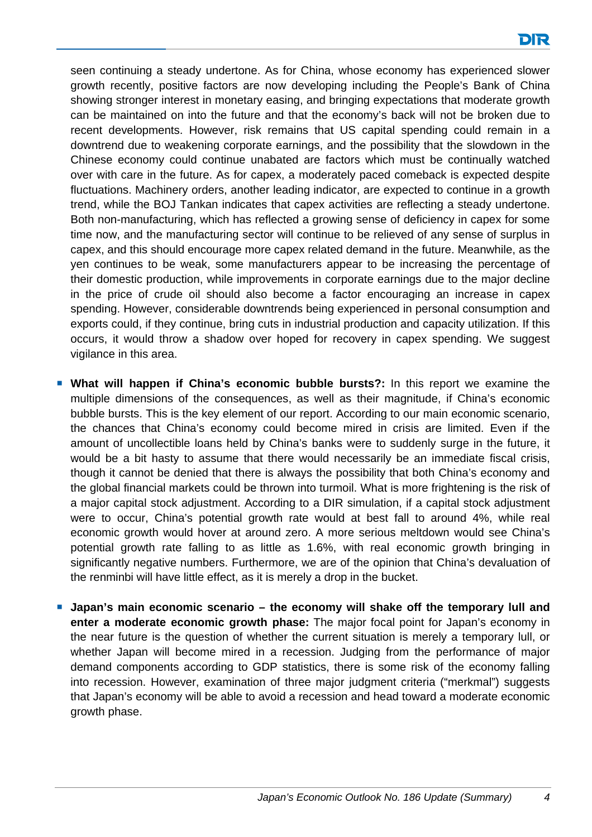seen continuing a steady undertone. As for China, whose economy has experienced slower growth recently, positive factors are now developing including the People's Bank of China showing stronger interest in monetary easing, and bringing expectations that moderate growth can be maintained on into the future and that the economy's back will not be broken due to recent developments. However, risk remains that US capital spending could remain in a downtrend due to weakening corporate earnings, and the possibility that the slowdown in the Chinese economy could continue unabated are factors which must be continually watched over with care in the future. As for capex, a moderately paced comeback is expected despite fluctuations. Machinery orders, another leading indicator, are expected to continue in a growth trend, while the BOJ Tankan indicates that capex activities are reflecting a steady undertone. Both non-manufacturing, which has reflected a growing sense of deficiency in capex for some time now, and the manufacturing sector will continue to be relieved of any sense of surplus in capex, and this should encourage more capex related demand in the future. Meanwhile, as the yen continues to be weak, some manufacturers appear to be increasing the percentage of their domestic production, while improvements in corporate earnings due to the major decline in the price of crude oil should also become a factor encouraging an increase in capex spending. However, considerable downtrends being experienced in personal consumption and exports could, if they continue, bring cuts in industrial production and capacity utilization. If this occurs, it would throw a shadow over hoped for recovery in capex spending. We suggest vigilance in this area.

- **What will happen if China's economic bubble bursts?:** In this report we examine the multiple dimensions of the consequences, as well as their magnitude, if China's economic bubble bursts. This is the key element of our report. According to our main economic scenario, the chances that China's economy could become mired in crisis are limited. Even if the amount of uncollectible loans held by China's banks were to suddenly surge in the future, it would be a bit hasty to assume that there would necessarily be an immediate fiscal crisis, though it cannot be denied that there is always the possibility that both China's economy and the global financial markets could be thrown into turmoil. What is more frightening is the risk of a major capital stock adjustment. According to a DIR simulation, if a capital stock adjustment were to occur, China's potential growth rate would at best fall to around 4%, while real economic growth would hover at around zero. A more serious meltdown would see China's potential growth rate falling to as little as 1.6%, with real economic growth bringing in significantly negative numbers. Furthermore, we are of the opinion that China's devaluation of the renminbi will have little effect, as it is merely a drop in the bucket.
- **Japan's main economic scenario the economy will shake off the temporary lull and enter a moderate economic growth phase:** The major focal point for Japan's economy in the near future is the question of whether the current situation is merely a temporary lull, or whether Japan will become mired in a recession. Judging from the performance of major demand components according to GDP statistics, there is some risk of the economy falling into recession. However, examination of three major judgment criteria ("merkmal") suggests that Japan's economy will be able to avoid a recession and head toward a moderate economic growth phase.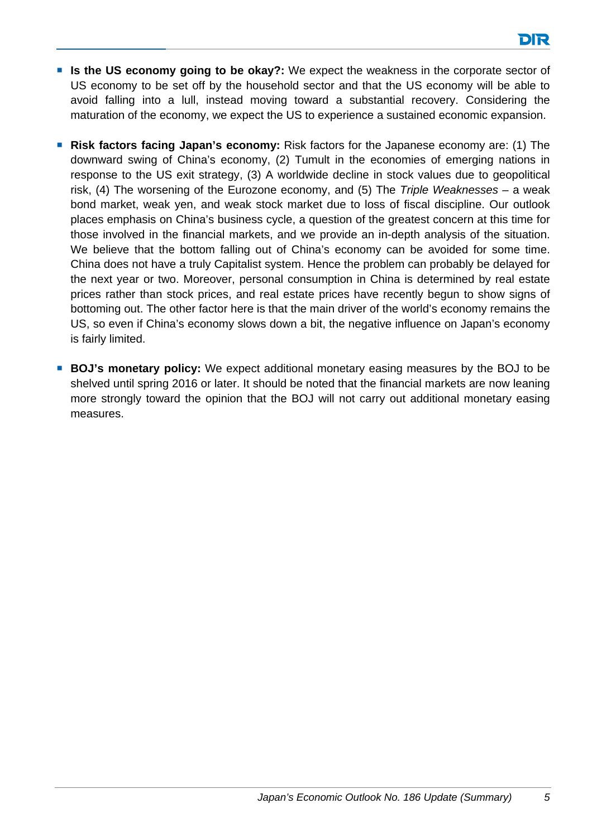- **If Is the US economy going to be okay?:** We expect the weakness in the corporate sector of US economy to be set off by the household sector and that the US economy will be able to avoid falling into a lull, instead moving toward a substantial recovery. Considering the maturation of the economy, we expect the US to experience a sustained economic expansion.
- **Risk factors facing Japan's economy:** Risk factors for the Japanese economy are: (1) The downward swing of China's economy, (2) Tumult in the economies of emerging nations in response to the US exit strategy, (3) A worldwide decline in stock values due to geopolitical risk, (4) The worsening of the Eurozone economy, and (5) The *Triple Weaknesses* – a weak bond market, weak yen, and weak stock market due to loss of fiscal discipline. Our outlook places emphasis on China's business cycle, a question of the greatest concern at this time for those involved in the financial markets, and we provide an in-depth analysis of the situation. We believe that the bottom falling out of China's economy can be avoided for some time. China does not have a truly Capitalist system. Hence the problem can probably be delayed for the next year or two. Moreover, personal consumption in China is determined by real estate prices rather than stock prices, and real estate prices have recently begun to show signs of bottoming out. The other factor here is that the main driver of the world's economy remains the US, so even if China's economy slows down a bit, the negative influence on Japan's economy is fairly limited.
- **BOJ's monetary policy:** We expect additional monetary easing measures by the BOJ to be shelved until spring 2016 or later. It should be noted that the financial markets are now leaning more strongly toward the opinion that the BOJ will not carry out additional monetary easing measures.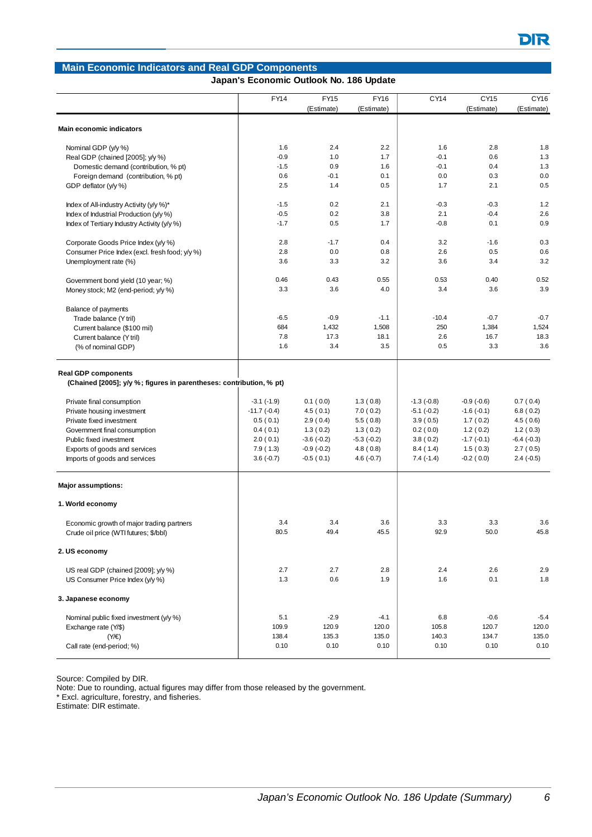#### **Main Economic Indicators and Real GDP Components**  FY14 FY15 FY16 CY14 CY15 CY16 (Estimate) (Estimate) (Estimate) (Estimate) **Main economic indicators** Nominal GDP (y/y %) 1.8 2.4 2.2 | 1.6 2.8 1.8 Real GDP (chained [2005]; y/y %)  $-0.9$  1.0 1.7  $-0.1$  0.6 1.3 Domestic demand (contribution, % pt) -1.5 0.9 1.6 -0.1 0.4 1.3 Foreign demand (contribution, % pt) <br>
0.6 -0.1 0.1 0.0 0.3 0.0 GDP deflator (y/y %) 2.5 1.4 0.5 1.7 2.1 0.5 1.7 2.1 0.5 Index of All-industry Activity (y/y %)\* The Case of All-industry Activity (y/y %)\* The Case of All-industry Activity (y/y %)\* The Case of All-industry Activity (y/y %)\* The Case of All-industry Activity (y/y %)\* The Case o Index of Industrial Production (y/y %) -0.5 0.2 3.8 2.1 -0.4 2.6 Index of Tertiary Industry Activity (y/y %)  $1.7$  0.5 1.7  $1.7$  -0.8 0.1 0.9 Corporate Goods Price Index (y/y %) 2.8 -1.7 0.4 3.2 -1.6 0.3 Consumer Price Index (excl. fresh food; y/y %) 2.8 0.0 0.8 2.6 0.5 0.6 Unemployment rate (%) 3.6 3.3 3.2 3.6 3.4 3.2 Government bond yield (10 year; %) 0.52 0.46 0.43 0.55 0.55 0.53 0.40 0.52 Money stock; M2 (end-period; y/y %) 3.3 3.6 3.9 3.6 3.9 3.6 3.9 3.6 3.9 Balance of payments Trade balance (Y tril) -6.5 -0.9 -1.1 -10.4 -0.7 -0.7 -0.7 Current balance (\$100 mil) 684 1,432 1,508 250 1,384 1,524 1,524 Current balance (Y tril) **7.8** 17.3 18.1 2.6 16.7 18.3 (% of nominal GDP) 1.6 3.4 3.5 0.5 3.3 3.6 3.6 **Real GDP components (Chained [2005]; y/y %; figures in parentheses: contribution, % pt)** Private final consumption  $-3.1 (-1.9)$   $-3.1 (-1.9)$   $-1.3 (0.8)$   $-1.3 (-0.8)$   $-0.9 (-0.6)$   $-0.7 (0.4)$ Private housing investment  $-11.7 (-0.4)$   $-4.5 (0.1)$   $-7.0 (0.2)$   $-5.1 (-0.2)$   $-1.6 (-0.1)$   $-6.8 (0.2)$ Private fixed investment 1.5 ( 0.6) 2.9 ( 0.4) 5.5 ( 0.8) 3.9 ( 0.5) 1.7 ( 0.2) 4.5 ( 0.6) Government final consumption  $0.4 ( 0.1)$   $1.3 ( 0.2)$   $1.3 ( 0.2)$   $1.2 ( 0.2)$   $1.2 ( 0.3)$ Public fixed investment  $2.0 (0.1)$   $3.6 (-0.2)$   $-5.3 (-0.2)$   $3.8 (0.2)$   $-1.7 (-0.1)$   $-6.4 (-0.3)$ Exports of goods and services <br>  $7.9(1.3)$   $-0.9(-0.2)$   $4.8(0.8)$   $8.4(1.4)$   $1.5(0.3)$   $2.7(0.5)$ Imports of goods and services <br>  $3.6 (-0.7)$   $-0.5 (0.1)$   $4.6 (-0.7)$   $7.4 (-1.4)$   $-0.2 (0.0)$   $2.4 (-0.5)$ **Major assumptions: 1. World economy** Economic growth of major trading partners and the state of the state of the state of the state 3.4 3.4 3.3 3.3 3.6 3.6 Crude oil price (WTI futures; \$/bbl) 80.5 49.4 45.5 92.9 50.0 45.8 **2. US economy** US real GDP (chained [2009]; y/y %) 2.7 2.7 2.8 2.9 2.4 2.6 2.9 US Consumer Price Index (y/y %) 1.3 0.6 1.9 | 1.6 0.1 1.8 **3. Japanese economy** Nominal public fixed investment (y/y %)  $\begin{vmatrix} 5.1 & 2.9 & -4.1 \end{vmatrix}$  5.4 -5.4 Exchange rate (Y/\$) 109.9 120.9 120.0 120.0 120.0 105.8 120.7 120.0 (Y/€) 138.4 135.3 135.0 140.3 134.7 135.0 Call rate (end-period; %) 0.10 0.10 0.10 0.10 0.10 0.10 **Japan's Economic Outlook No. 186 Update**

Source: Compiled by DIR.

Note: Due to rounding, actual figures may differ from those released by the government.

Excl. agriculture, forestry, and fisheries.

Estimate: DIR estimate.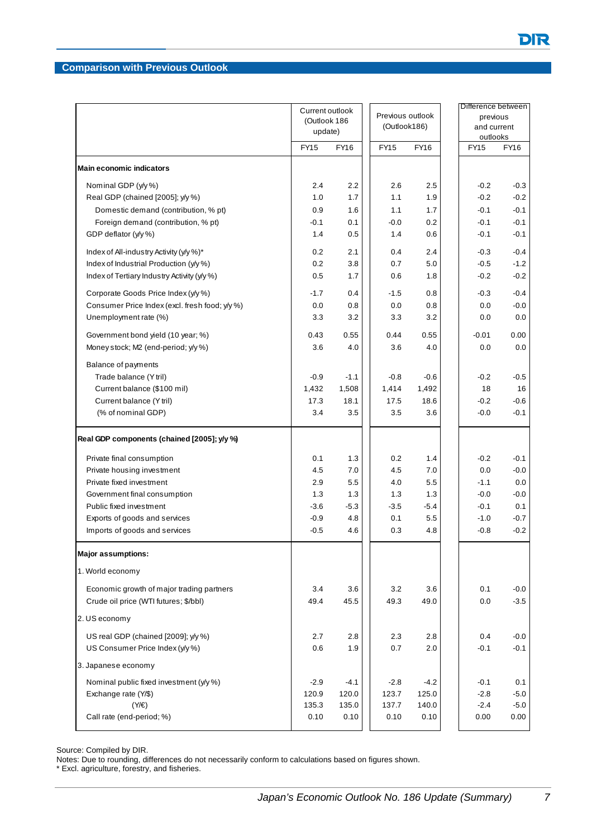#### **Comparison with Previous Outlook**

|                                                                                    | Current outlook<br>(Outlook 186<br>update) |             | (Outlook186) | Previous outlook | previous<br>and current<br>outlooks | Difference between |
|------------------------------------------------------------------------------------|--------------------------------------------|-------------|--------------|------------------|-------------------------------------|--------------------|
|                                                                                    | <b>FY15</b>                                | <b>FY16</b> | FY15         | FY16             | FY15                                | FY16               |
| <b>Main economic indicators</b>                                                    |                                            |             |              |                  |                                     |                    |
| Nominal GDP (y/y %)                                                                | 2.4                                        | 2.2         | 2.6          | 2.5              | $-0.2$                              | $-0.3$             |
| Real GDP (chained [2005]; y/y %)                                                   | 1.0                                        | 1.7         | 1.1          | 1.9              | $-0.2$                              | $-0.2$             |
| Domestic demand (contribution, % pt)                                               | 0.9                                        | 1.6         | 1.1          | 1.7              | $-0.1$                              | $-0.1$             |
| Foreign demand (contribution, % pt)                                                | $-0.1$                                     | 0.1         | $-0.0$       | 0.2              | $-0.1$                              | $-0.1$             |
| GDP deflator (y/y %)                                                               | 1.4                                        | 0.5         | 1.4          | 0.6              | $-0.1$                              | $-0.1$             |
| Index of All-industry Activity (y/y %)*                                            | 0.2                                        | 2.1         | 0.4          | 2.4              | $-0.3$                              | $-0.4$             |
| Index of Industrial Production (y/y %)                                             | 0.2                                        | 3.8         | 0.7          | 5.0              | $-0.5$                              | $-1.2$             |
| Index of Tertiary Industry Activity (y/y %)                                        | 0.5                                        | 1.7         | 0.6          | 1.8              | $-0.2$                              | $-0.2$             |
| Corporate Goods Price Index (y/y %)                                                | $-1.7$                                     | 0.4         | $-1.5$       | 0.8              | $-0.3$                              | $-0.4$             |
| Consumer Price Index (excl. fresh food; y/y %)                                     | 0.0                                        | 0.8         | 0.0          | 0.8              | 0.0                                 | $-0.0$             |
| Unemployment rate (%)                                                              | 3.3                                        | 3.2         | 3.3          | 3.2              | 0.0                                 | 0.0                |
| Government bond yield (10 year; %)                                                 | 0.43                                       | 0.55        | 0.44         | 0.55             | $-0.01$                             | 0.00               |
| Money stock; M2 (end-period; y/y %)                                                | 3.6                                        | 4.0         | 3.6          | 4.0              | 0.0                                 | 0.0                |
| Balance of payments                                                                |                                            |             |              |                  |                                     |                    |
| Trade balance (Y tril)                                                             | $-0.9$                                     | $-1.1$      | $-0.8$       | $-0.6$           | $-0.2$                              | $-0.5$             |
| Current balance (\$100 mil)                                                        | 1,432                                      | 1,508       | 1,414        | 1,492            | 18                                  | 16                 |
| Current balance (Y tril)                                                           | 17.3                                       | 18.1        | 17.5         | 18.6             | $-0.2$                              | $-0.6$             |
| (% of nominal GDP)                                                                 | 3.4                                        | 3.5         | 3.5          | 3.6              | $-0.0$                              | $-0.1$             |
| Real GDP components (chained [2005]; y/y %)                                        |                                            |             |              |                  |                                     |                    |
| Private final consumption                                                          | 0.1                                        | 1.3         | 0.2          | 1.4              | $-0.2$                              | $-0.1$             |
| Private housing investment                                                         | 4.5                                        | 7.0         | 4.5          | 7.0              | 0.0                                 | $-0.0$             |
| Private fixed investment                                                           | 2.9                                        | 5.5         | 4.0          | 5.5              | $-1.1$                              | 0.0                |
| Government final consumption                                                       | 1.3                                        | 1.3         | 1.3          | 1.3              | $-0.0$                              | $-0.0$             |
| Public fixed investment                                                            | $-3.6$                                     | $-5.3$      | $-3.5$       | $-5.4$           | $-0.1$                              | 0.1                |
| Exports of goods and services                                                      | $-0.9$                                     | 4.8         | 0.1          | 5.5              | $-1.0$                              | $-0.7$             |
| Imports of goods and services                                                      | $-0.5$                                     | 4.6         | 0.3          | 4.8              | $-0.8$                              | $-0.2$             |
| <b>Major assumptions:</b>                                                          |                                            |             |              |                  |                                     |                    |
| 1. World economy                                                                   |                                            |             |              |                  |                                     |                    |
| Economic growth of major trading partners<br>Crude oil price (WTI futures; \$/bbl) | 3.4<br>49.4                                | 3.6<br>45.5 | 3.2<br>49.3  | 3.6<br>49.0      | 0.1<br>0.0                          | $-0.0$<br>$-3.5$   |
| 2. US economy                                                                      |                                            |             |              |                  |                                     |                    |
| US real GDP (chained [2009]; y/y %)                                                | 2.7                                        | 2.8         | 2.3          | 2.8              | 0.4                                 | $-0.0$             |
| US Consumer Price Index (y/y %)                                                    | 0.6                                        | 1.9         | 0.7          | 2.0              | $-0.1$                              | $-0.1$             |
| 3. Japanese economy                                                                |                                            |             |              |                  |                                     |                    |
| Nominal public fixed investment (y/y %)                                            | $-2.9$                                     | $-4.1$      | $-2.8$       | $-4.2$           | $-0.1$                              | 0.1                |
| Exchange rate (Y/\$)                                                               | 120.9                                      | 120.0       | 123.7        | 125.0            | $-2.8$                              | $-5.0$             |
| $(Y/\epsilon)$                                                                     | 135.3                                      | 135.0       | 137.7        | 140.0            | $-2.4$                              | $-5.0$             |
| Call rate (end-period; %)                                                          | 0.10                                       | 0.10        | 0.10         | 0.10             | 0.00                                | 0.00               |

Source: Compiled by DIR.

Notes: Due to rounding, differences do not necessarily conform to calculations based on figures shown.

\* Excl. agriculture, forestry, and fisheries.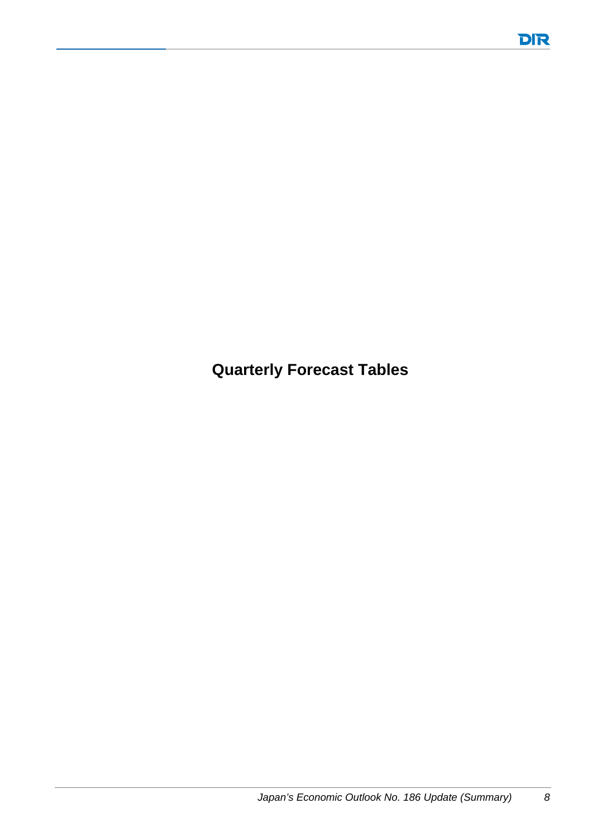**Quarterly Forecast Tables**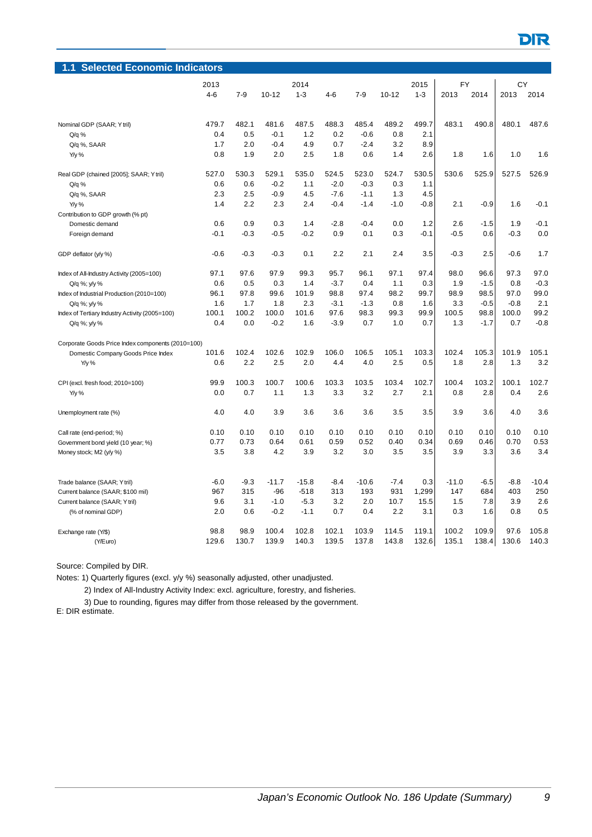| <b>Selected Economic Indicators</b><br>1.1        |         |              |           |         |         |         |           |         |           |        |        |         |
|---------------------------------------------------|---------|--------------|-----------|---------|---------|---------|-----------|---------|-----------|--------|--------|---------|
|                                                   |         | 2013<br>2014 |           |         |         |         |           | 2015    | <b>FY</b> |        | CY     |         |
|                                                   | $4 - 6$ | $7 - 9$      | $10 - 12$ | $1 - 3$ | $4 - 6$ | $7-9$   | $10 - 12$ | $1 - 3$ | 2013      | 2014   | 2013   | 2014    |
|                                                   |         |              |           |         |         |         |           |         |           |        |        |         |
| Nominal GDP (SAAR; Y tril)                        | 479.7   | 482.1        | 481.6     | 487.5   | 488.3   | 485.4   | 489.2     | 499.7   | 483.1     | 490.8  | 480.1  | 487.6   |
| $Q/q$ %                                           | 0.4     | 0.5          | $-0.1$    | 1.2     | 0.2     | $-0.6$  | 0.8       | 2.1     |           |        |        |         |
| Q/q %, SAAR                                       | 1.7     | 2.0          | $-0.4$    | 4.9     | 0.7     | $-2.4$  | 3.2       | 8.9     |           |        |        |         |
| Y/y %                                             | 0.8     | 1.9          | 2.0       | 2.5     | 1.8     | 0.6     | 1.4       | 2.6     | 1.8       | 1.6    | 1.0    | 1.6     |
| Real GDP (chained [2005]; SAAR; Y tril)           | 527.0   | 530.3        | 529.1     | 535.0   | 524.5   | 523.0   | 524.7     | 530.5   | 530.6     | 525.9  | 527.5  | 526.9   |
| $Q/q$ %                                           | 0.6     | 0.6          | $-0.2$    | 1.1     | $-2.0$  | $-0.3$  | 0.3       | 1.1     |           |        |        |         |
| Q/q %, SAAR                                       | 2.3     | 2.5          | $-0.9$    | 4.5     | $-7.6$  | $-1.1$  | 1.3       | 4.5     |           |        |        |         |
| $Y/y$ %                                           | 1.4     | 2.2          | 2.3       | 2.4     | $-0.4$  | $-1.4$  | $-1.0$    | $-0.8$  | 2.1       | $-0.9$ | 1.6    | $-0.1$  |
| Contribution to GDP growth (% pt)                 |         |              |           |         |         |         |           |         |           |        |        |         |
| Domestic demand                                   | 0.6     | 0.9          | 0.3       | 1.4     | $-2.8$  | $-0.4$  | 0.0       | 1.2     | 2.6       | $-1.5$ | 1.9    | $-0.1$  |
| Foreign demand                                    | $-0.1$  | $-0.3$       | $-0.5$    | $-0.2$  | 0.9     | 0.1     | 0.3       | -0.1    | $-0.5$    | 0.6    | $-0.3$ | 0.0     |
| GDP deflator (y/y %)                              | $-0.6$  | $-0.3$       | $-0.3$    | 0.1     | 2.2     | 2.1     | 2.4       | 3.5     | $-0.3$    | 2.5    | $-0.6$ | 1.7     |
| Index of All-Industry Activity (2005=100)         | 97.1    | 97.6         | 97.9      | 99.3    | 95.7    | 96.1    | 97.1      | 97.4    | 98.0      | 96.6   | 97.3   | 97.0    |
| Q/q %; y/y %                                      | 0.6     | 0.5          | 0.3       | 1.4     | $-3.7$  | 0.4     | 1.1       | 0.3     | 1.9       | $-1.5$ | 0.8    | $-0.3$  |
| Index of Industrial Production (2010=100)         | 96.1    | 97.8         | 99.6      | 101.9   | 98.8    | 97.4    | 98.2      | 99.7    | 98.9      | 98.5   | 97.0   | 99.0    |
| Q/q %; y/y %                                      | 1.6     | 1.7          | 1.8       | 2.3     | $-3.1$  | $-1.3$  | 0.8       | 1.6     | 3.3       | $-0.5$ | $-0.8$ | 2.1     |
| Index of Tertiary Industry Activity (2005=100)    | 100.1   | 100.2        | 100.0     | 101.6   | 97.6    | 98.3    | 99.3      | 99.9    | 100.5     | 98.8   | 100.0  | 99.2    |
| Q/q %; y/y %                                      | 0.4     | 0.0          | $-0.2$    | 1.6     | $-3.9$  | 0.7     | 1.0       | 0.7     | 1.3       | $-1.7$ | 0.7    | $-0.8$  |
| Corporate Goods Price Index components (2010=100) |         |              |           |         |         |         |           |         |           |        |        |         |
| Domestic Company Goods Price Index                | 101.6   | 102.4        | 102.6     | 102.9   | 106.0   | 106.5   | 105.1     | 103.3   | 102.4     | 105.3  | 101.9  | 105.1   |
| Y/y %                                             | 0.6     | 2.2          | 2.5       | 2.0     | 4.4     | 4.0     | 2.5       | 0.5     | 1.8       | 2.8    | 1.3    | 3.2     |
| CPI (excl. fresh food; 2010=100)                  | 99.9    | 100.3        | 100.7     | 100.6   | 103.3   | 103.5   | 103.4     | 102.7   | 100.4     | 103.2  | 100.1  | 102.7   |
| Y/y %                                             | 0.0     | 0.7          | 1.1       | 1.3     | 3.3     | 3.2     | 2.7       | 2.1     | 0.8       | 2.8    | 0.4    | 2.6     |
| Unemployment rate (%)                             | 4.0     | 4.0          | 3.9       | 3.6     | 3.6     | 3.6     | 3.5       | 3.5     | 3.9       | 3.6    | 4.0    | 3.6     |
| Call rate (end-period; %)                         | 0.10    | 0.10         | 0.10      | 0.10    | 0.10    | 0.10    | 0.10      | 0.10    | 0.10      | 0.10   | 0.10   | 0.10    |
| Government bond yield (10 year; %)                | 0.77    | 0.73         | 0.64      | 0.61    | 0.59    | 0.52    | 0.40      | 0.34    | 0.69      | 0.46   | 0.70   | 0.53    |
| Money stock; M2 (y/y %)                           | 3.5     | 3.8          | 4.2       | 3.9     | 3.2     | 3.0     | 3.5       | 3.5     | 3.9       | 3.3    | 3.6    | 3.4     |
| Trade balance (SAAR; Y tril)                      | $-6.0$  | $-9.3$       | $-11.7$   | $-15.8$ | $-8.4$  | $-10.6$ | $-7.4$    | 0.3     | $-11.0$   | $-6.5$ | $-8.8$ | $-10.4$ |
| Current balance (SAAR; \$100 mil)                 | 967     | 315          | $-96$     | $-518$  | 313     | 193     | 931       | 1,299   | 147       | 684    | 403    | 250     |
| Current balance (SAAR; Y tril)                    | 9.6     | 3.1          | $-1.0$    | $-5.3$  | 3.2     | 2.0     | 10.7      | 15.5    | 1.5       | 7.8    | 3.9    | 2.6     |
| (% of nominal GDP)                                | 2.0     | 0.6          | $-0.2$    | $-1.1$  | 0.7     | 0.4     | 2.2       | 3.1     | 0.3       | 1.6    | 0.8    | 0.5     |
| Exchange rate (Y/\$)                              | 98.8    | 98.9         | 100.4     | 102.8   | 102.1   | 103.9   | 114.5     | 119.1   | 100.2     | 109.9  | 97.6   | 105.8   |
| (Y/Euro)                                          | 129.6   | 130.7        | 139.9     | 140.3   | 139.5   | 137.8   | 143.8     | 132.6   | 135.1     | 138.4  | 130.6  | 140.3   |

Notes: 1) Quarterly figures (excl. y/y %) seasonally adjusted, other unadjusted.

2) Index of All-Industry Activity Index: excl. agriculture, forestry, and fisheries.

3) Due to rounding, figures may differ from those released by the government. E: DIR estimate.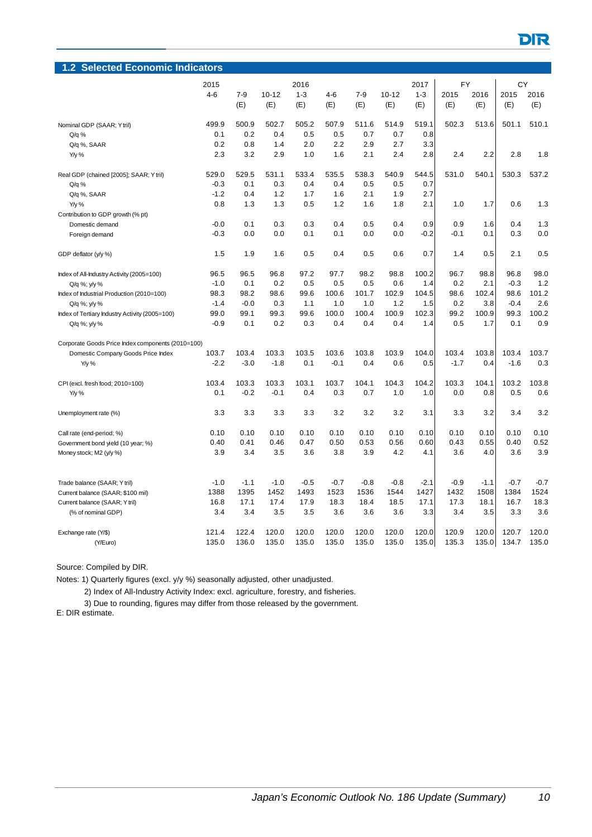| <b>Selected Economic Indicators</b><br>1.2        |              |         |           |         |         |         |           |                 |           |        |        |        |
|---------------------------------------------------|--------------|---------|-----------|---------|---------|---------|-----------|-----------------|-----------|--------|--------|--------|
|                                                   | 2016<br>2015 |         |           |         |         |         |           |                 | <b>FY</b> |        | CY     |        |
|                                                   | $4 - 6$      | $7 - 9$ | $10 - 12$ | $1 - 3$ | $4 - 6$ | $7 - 9$ | $10 - 12$ | 2017<br>$1 - 3$ | 2015      | 2016   | 2015   | 2016   |
|                                                   |              | (E)     | (E)       | (E)     | (E)     | (E)     | (E)       | (E)             | (E)       | (E)    | (E)    | (E)    |
| Nominal GDP (SAAR; Ytril)                         | 499.9        | 500.9   | 502.7     | 505.2   | 507.9   | 511.6   | 514.9     | 519.1           | 502.3     | 513.6  | 501.1  | 510.1  |
| $Q/q$ %                                           | 0.1          | 0.2     | 0.4       | 0.5     | 0.5     | 0.7     | 0.7       | 0.8             |           |        |        |        |
| Q/q %, SAAR                                       | 0.2          | 0.8     | 1.4       | 2.0     | 2.2     | 2.9     | 2.7       | 3.3             |           |        |        |        |
| Y/y %                                             | 2.3          | 3.2     | 2.9       | 1.0     | 1.6     | 2.1     | 2.4       | 2.8             | 2.4       | 2.2    | 2.8    | 1.8    |
| Real GDP (chained [2005]; SAAR; Y tril)           | 529.0        | 529.5   | 531.1     | 533.4   | 535.5   | 538.3   | 540.9     | 544.5           | 531.0     | 540.1  | 530.3  | 537.2  |
| $Q/q$ %                                           | $-0.3$       | 0.1     | 0.3       | 0.4     | 0.4     | 0.5     | 0.5       | 0.7             |           |        |        |        |
| Q/q %, SAAR                                       | $-1.2$       | 0.4     | 1.2       | 1.7     | 1.6     | 2.1     | 1.9       | 2.7             |           |        |        |        |
| Y/y %                                             | 0.8          | 1.3     | 1.3       | 0.5     | 1.2     | 1.6     | 1.8       | 2.1             | 1.0       | 1.7    | 0.6    | 1.3    |
| Contribution to GDP growth (% pt)                 |              |         |           |         |         |         |           |                 |           |        |        |        |
| Domestic demand                                   | $-0.0$       | 0.1     | 0.3       | 0.3     | 0.4     | 0.5     | 0.4       | 0.9             | 0.9       | 1.6    | 0.4    | 1.3    |
| Foreign demand                                    | $-0.3$       | 0.0     | 0.0       | 0.1     | 0.1     | 0.0     | 0.0       | $-0.2$          | $-0.1$    | 0.1    | 0.3    | 0.0    |
| GDP deflator (y/y %)                              | 1.5          | 1.9     | 1.6       | 0.5     | 0.4     | 0.5     | 0.6       | 0.7             | 1.4       | 0.5    | 2.1    | 0.5    |
| Index of All-Industry Activity (2005=100)         | 96.5         | 96.5    | 96.8      | 97.2    | 97.7    | 98.2    | 98.8      | 100.2           | 96.7      | 98.8   | 96.8   | 98.0   |
| Q/q %; y/y %                                      | $-1.0$       | 0.1     | 0.2       | 0.5     | 0.5     | 0.5     | 0.6       | 1.4             | 0.2       | 2.1    | $-0.3$ | 1.2    |
| Index of Industrial Production (2010=100)         | 98.3         | 98.2    | 98.6      | 99.6    | 100.6   | 101.7   | 102.9     | 104.5           | 98.6      | 102.4  | 98.6   | 101.2  |
| Q/q %; y/y %                                      | $-1.4$       | $-0.0$  | 0.3       | 1.1     | 1.0     | 1.0     | 1.2       | 1.5             | 0.2       | 3.8    | $-0.4$ | 2.6    |
| Index of Tertiary Industry Activity (2005=100)    | 99.0         | 99.1    | 99.3      | 99.6    | 100.0   | 100.4   | 100.9     | 102.3           | 99.2      | 100.9  | 99.3   | 100.2  |
| Q/q %; y/y %                                      | $-0.9$       | 0.1     | 0.2       | 0.3     | 0.4     | 0.4     | 0.4       | 1.4             | 0.5       | 1.7    | 0.1    | 0.9    |
| Corporate Goods Price Index components (2010=100) |              |         |           |         |         |         |           |                 |           |        |        |        |
| Domestic Company Goods Price Index                | 103.7        | 103.4   | 103.3     | 103.5   | 103.6   | 103.8   | 103.9     | 104.0           | 103.4     | 103.8  | 103.4  | 103.7  |
| Y/y %                                             | $-2.2$       | $-3.0$  | $-1.8$    | 0.1     | $-0.1$  | 0.4     | 0.6       | 0.5             | $-1.7$    | 0.4    | $-1.6$ | 0.3    |
| CPI (excl. fresh food; 2010=100)                  | 103.4        | 103.3   | 103.3     | 103.1   | 103.7   | 104.1   | 104.3     | 104.2           | 103.3     | 104.1  | 103.2  | 103.8  |
| Y/y %                                             | 0.1          | $-0.2$  | $-0.1$    | 0.4     | 0.3     | 0.7     | 1.0       | 1.0             | 0.0       | 0.8    | 0.5    | 0.6    |
| Unemployment rate (%)                             | 3.3          | 3.3     | 3.3       | 3.3     | 3.2     | 3.2     | 3.2       | 3.1             | 3.3       | 3.2    | 3.4    | 3.2    |
| Call rate (end-period; %)                         | 0.10         | 0.10    | 0.10      | 0.10    | 0.10    | 0.10    | 0.10      | 0.10            | 0.10      | 0.10   | 0.10   | 0.10   |
| Government bond yield (10 year; %)                | 0.40         | 0.41    | 0.46      | 0.47    | 0.50    | 0.53    | 0.56      | 0.60            | 0.43      | 0.55   | 0.40   | 0.52   |
| Money stock; M2 (y/y %)                           | 3.9          | 3.4     | 3.5       | 3.6     | 3.8     | 3.9     | 4.2       | 4.1             | 3.6       | 4.0    | 3.6    | 3.9    |
| Trade balance (SAAR; Y tril)                      | $-1.0$       | $-1.1$  | $-1.0$    | $-0.5$  | $-0.7$  | $-0.8$  | $-0.8$    | $-2.1$          | $-0.9$    | $-1.1$ | $-0.7$ | $-0.7$ |
| Current balance (SAAR; \$100 mil)                 | 1388         | 1395    | 1452      | 1493    | 1523    | 1536    | 1544      | 1427            | 1432      | 1508   | 1384   | 1524   |
| Current balance (SAAR; Y tril)                    | 16.8         | 17.1    | 17.4      | 17.9    | 18.3    | 18.4    | 18.5      | 17.1            | 17.3      | 18.1   | 16.7   | 18.3   |
| (% of nominal GDP)                                | 3.4          | 3.4     | 3.5       | 3.5     | 3.6     | 3.6     | 3.6       | 3.3             | 3.4       | 3.5    | 3.3    | 3.6    |
| Exchange rate (Y/\$)                              | 121.4        | 122.4   | 120.0     | 120.0   | 120.0   | 120.0   | 120.0     | 120.0           | 120.9     | 120.0  | 120.7  | 120.0  |
| (Y/Euro)                                          | 135.0        | 136.0   | 135.0     | 135.0   | 135.0   | 135.0   | 135.0     | 135.0           | 135.3     | 135.0  | 134.7  | 135.0  |

Notes: 1) Quarterly figures (excl. y/y %) seasonally adjusted, other unadjusted.

2) Index of All-Industry Activity Index: excl. agriculture, forestry, and fisheries.

3) Due to rounding, figures may differ from those released by the government.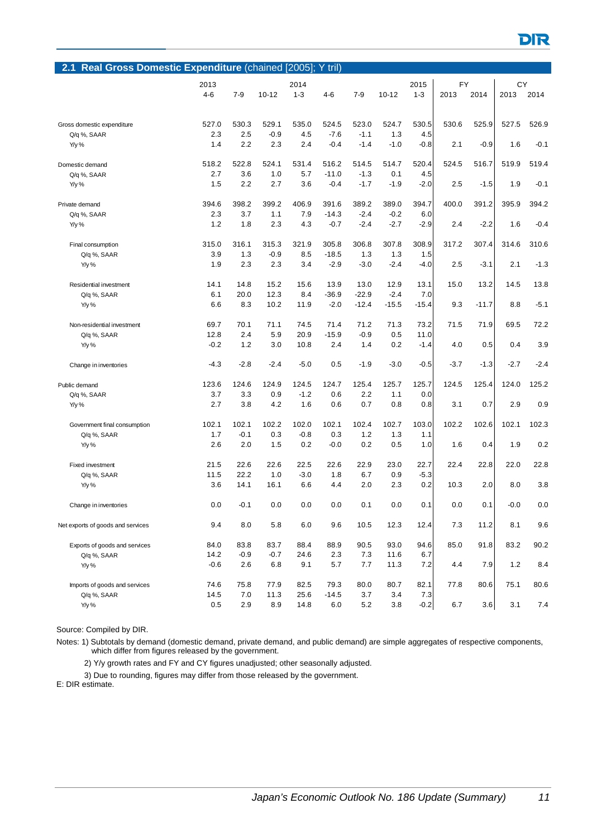| Real Gross Domestic Expenditure (chained [2005]; Y tril)<br>2.1 |         |         |           |         |         |         |           |         |           |         |        |        |
|-----------------------------------------------------------------|---------|---------|-----------|---------|---------|---------|-----------|---------|-----------|---------|--------|--------|
|                                                                 | 2013    |         |           | 2014    |         |         |           | 2015    | <b>FY</b> |         | CY     |        |
|                                                                 | $4 - 6$ | $7 - 9$ | $10 - 12$ | $1 - 3$ | $4 - 6$ | $7-9$   | $10 - 12$ | $1 - 3$ | 2013      | 2014    | 2013   | 2014   |
|                                                                 |         |         |           |         |         |         |           |         |           |         |        |        |
| Gross domestic expenditure                                      | 527.0   | 530.3   | 529.1     | 535.0   | 524.5   | 523.0   | 524.7     | 530.5   | 530.6     | 525.9   | 527.5  | 526.9  |
| Q/q %, SAAR                                                     | 2.3     | 2.5     | $-0.9$    | 4.5     | $-7.6$  | $-1.1$  | 1.3       | 4.5     |           |         |        |        |
| Y/y %                                                           | 1.4     | 2.2     | 2.3       | 2.4     | $-0.4$  | $-1.4$  | $-1.0$    | $-0.8$  | 2.1       | $-0.9$  | 1.6    | $-0.1$ |
| Domestic demand                                                 | 518.2   | 522.8   | 524.1     | 531.4   | 516.2   | 514.5   | 514.7     | 520.4   | 524.5     | 516.7   | 519.9  | 519.4  |
| Q/q %, SAAR                                                     | 2.7     | 3.6     | 1.0       | 5.7     | $-11.0$ | $-1.3$  | 0.1       | 4.5     |           |         |        |        |
| Y/y %                                                           | 1.5     | 2.2     | 2.7       | 3.6     | $-0.4$  | $-1.7$  | $-1.9$    | $-2.0$  | 2.5       | $-1.5$  | 1.9    | $-0.1$ |
| Private demand                                                  | 394.6   | 398.2   | 399.2     | 406.9   | 391.6   | 389.2   | 389.0     | 394.7   | 400.0     | 391.2   | 395.9  | 394.2  |
| Q/q %, SAAR                                                     | 2.3     | 3.7     | 1.1       | 7.9     | $-14.3$ | $-2.4$  | $-0.2$    | 6.0     |           |         |        |        |
| Y/y %                                                           | 1.2     | 1.8     | 2.3       | 4.3     | $-0.7$  | $-2.4$  | $-2.7$    | $-2.9$  | 2.4       | $-2.2$  | 1.6    | $-0.4$ |
| Final consumption                                               | 315.0   | 316.1   | 315.3     | 321.9   | 305.8   | 306.8   | 307.8     | 308.9   | 317.2     | 307.4   | 314.6  | 310.6  |
| Q/q %, SAAR                                                     | 3.9     | 1.3     | $-0.9$    | 8.5     | $-18.5$ | 1.3     | 1.3       | 1.5     |           |         |        |        |
| Y/y %                                                           | 1.9     | 2.3     | 2.3       | 3.4     | $-2.9$  | $-3.0$  | $-2.4$    | $-4.0$  | 2.5       | $-3.1$  | 2.1    | $-1.3$ |
| Residential investment                                          | 14.1    | 14.8    | 15.2      | 15.6    | 13.9    | 13.0    | 12.9      | 13.1    | 15.0      | 13.2    | 14.5   | 13.8   |
| Q/q %, SAAR                                                     | 6.1     | 20.0    | 12.3      | 8.4     | $-36.9$ | $-22.9$ | $-2.4$    | 7.0     |           |         |        |        |
| Y/y %                                                           | 6.6     | 8.3     | 10.2      | 11.9    | $-2.0$  | $-12.4$ | $-15.5$   | $-15.4$ | 9.3       | $-11.7$ | 8.8    | $-5.1$ |
| Non-residential investment                                      | 69.7    | 70.1    | 71.1      | 74.5    | 71.4    | 71.2    | 71.3      | 73.2    | 71.5      | 71.9    | 69.5   | 72.2   |
| Q/q %, SAAR                                                     | 12.8    | 2.4     | 5.9       | 20.9    | $-15.9$ | $-0.9$  | 0.5       | 11.0    |           |         |        |        |
| Y/y %                                                           | $-0.2$  | 1.2     | 3.0       | 10.8    | 2.4     | 1.4     | 0.2       | $-1.4$  | 4.0       | 0.5     | 0.4    | 3.9    |
| Change in inventories                                           | $-4.3$  | $-2.8$  | $-2.4$    | $-5.0$  | 0.5     | $-1.9$  | $-3.0$    | $-0.5$  | $-3.7$    | $-1.3$  | $-2.7$ | $-2.4$ |
| Public demand                                                   | 123.6   | 124.6   | 124.9     | 124.5   | 124.7   | 125.4   | 125.7     | 125.7   | 124.5     | 125.4   | 124.0  | 125.2  |
| Q/q %, SAAR                                                     | 3.7     | 3.3     | 0.9       | $-1.2$  | 0.6     | 2.2     | 1.1       | 0.0     |           |         |        |        |
| Y/y %                                                           | 2.7     | 3.8     | 4.2       | 1.6     | 0.6     | 0.7     | 0.8       | 0.8     | 3.1       | 0.7     | 2.9    | 0.9    |
| Government final consumption                                    | 102.1   | 102.1   | 102.2     | 102.0   | 102.1   | 102.4   | 102.7     | 103.0   | 102.2     | 102.6   | 102.1  | 102.3  |
| Q/q %, SAAR                                                     | 1.7     | $-0.1$  | 0.3       | $-0.8$  | 0.3     | 1.2     | 1.3       | 1.1     |           |         |        |        |
| Y/y %                                                           | 2.6     | 2.0     | 1.5       | 0.2     | $-0.0$  | 0.2     | 0.5       | 1.0     | 1.6       | 0.4     | 1.9    | 0.2    |
| <b>Fixed investment</b>                                         | 21.5    | 22.6    | 22.6      | 22.5    | 22.6    | 22.9    | 23.0      | 22.7    | 22.4      | 22.8    | 22.0   | 22.8   |
| Q/q %, SAAR                                                     | 11.5    | 22.2    | 1.0       | $-3.0$  | 1.8     | 6.7     | 0.9       | $-5.3$  |           |         |        |        |
| Y/y %                                                           | 3.6     | 14.1    | 16.1      | 6.6     | 4.4     | 2.0     | 2.3       | 0.2     | 10.3      | 2.0     | 8.0    | 3.8    |
| Change in inventories                                           | 0.0     | $-0.1$  | 0.0       | 0.0     | 0.0     | 0.1     | 0.0       | 0.1     | 0.0       | 0.1     | $-0.0$ | 0.0    |
| Net exports of goods and services                               | 9.4     | 8.0     | 5.8       | 6.0     | 9.6     | 10.5    | 12.3      | 12.4    | 7.3       | 11.2    | 8.1    | 9.6    |
| Exports of goods and services                                   | 84.0    | 83.8    | 83.7      | 88.4    | 88.9    | 90.5    | 93.0      | 94.6    | 85.0      | 91.8    | 83.2   | 90.2   |
| Q/q %, SAAR                                                     | 14.2    | $-0.9$  | $-0.7$    | 24.6    | 2.3     | 7.3     | 11.6      | 6.7     |           |         |        |        |
| Y/y %                                                           | $-0.6$  | 2.6     | 6.8       | 9.1     | 5.7     | 7.7     | 11.3      | 7.2     | 4.4       | 7.9     | $1.2$  | 8.4    |
| Imports of goods and services                                   | 74.6    | 75.8    | 77.9      | 82.5    | 79.3    | 80.0    | 80.7      | 82.1    | 77.8      | 80.6    | 75.1   | 80.6   |
| Q/q %, SAAR                                                     | 14.5    | 7.0     | 11.3      | 25.6    | $-14.5$ | 3.7     | 3.4       | 7.3     |           |         |        |        |
| Y/y %                                                           | 0.5     | 2.9     | 8.9       | 14.8    | 6.0     | 5.2     | 3.8       | $-0.2$  | 6.7       | 3.6     | 3.1    | 7.4    |

Notes: 1) Subtotals by demand (domestic demand, private demand, and public demand) are simple aggregates of respective components, which differ from figures released by the government.

2) Y/y growth rates and FY and CY figures unadjusted; other seasonally adjusted.

3) Due to rounding, figures may differ from those released by the government.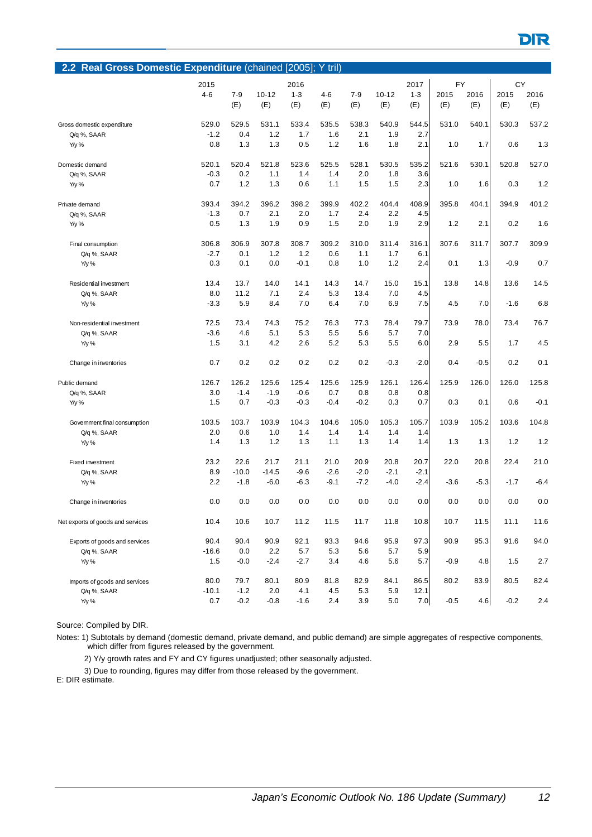| 2.2 Real Gross Domestic Expenditure (chained [2005]; Y tril) |         |         |           |         |         |        |           |         |           |        |        |        |
|--------------------------------------------------------------|---------|---------|-----------|---------|---------|--------|-----------|---------|-----------|--------|--------|--------|
|                                                              | 2015    |         |           | 2016    |         |        |           | 2017    | <b>FY</b> |        | CY     |        |
|                                                              | $4 - 6$ | $7 - 9$ | $10 - 12$ | $1 - 3$ | $4 - 6$ | $7-9$  | $10 - 12$ | $1 - 3$ | 2015      | 2016   | 2015   | 2016   |
|                                                              |         | (E)     | (E)       | (E)     | (E)     | (E)    | (E)       | (E)     | (E)       | (E)    | (E)    | (E)    |
|                                                              |         |         |           |         |         |        |           |         |           |        |        |        |
| Gross domestic expenditure                                   | 529.0   | 529.5   | 531.1     | 533.4   | 535.5   | 538.3  | 540.9     | 544.5   | 531.0     | 540.1  | 530.3  | 537.2  |
| Q/q %, SAAR                                                  | $-1.2$  | 0.4     | 1.2       | 1.7     | 1.6     | 2.1    | 1.9       | 2.7     |           |        |        |        |
| Y/y %                                                        | 0.8     | 1.3     | 1.3       | 0.5     | 1.2     | 1.6    | 1.8       | 2.1     | 1.0       | 1.7    | 0.6    | 1.3    |
| Domestic demand                                              | 520.1   | 520.4   | 521.8     | 523.6   | 525.5   | 528.1  | 530.5     | 535.2   | 521.6     | 530.1  | 520.8  | 527.0  |
| Q/q %, SAAR                                                  | $-0.3$  | 0.2     | 1.1       | 1.4     | 1.4     | 2.0    | 1.8       | 3.6     |           |        |        |        |
| Y/y %                                                        | 0.7     | 1.2     | 1.3       | 0.6     | 1.1     | 1.5    | 1.5       | 2.3     | 1.0       | 1.6    | 0.3    | 1.2    |
| Private demand                                               | 393.4   | 394.2   | 396.2     | 398.2   | 399.9   | 402.2  | 404.4     | 408.9   | 395.8     | 404.1  | 394.9  | 401.2  |
| Q/q %, SAAR                                                  | $-1.3$  | 0.7     | 2.1       | 2.0     | 1.7     | 2.4    | 2.2       | 4.5     |           |        |        |        |
| Y/y %                                                        | 0.5     | 1.3     | 1.9       | 0.9     | 1.5     | 2.0    | 1.9       | 2.9     | 1.2       | 2.1    | 0.2    | 1.6    |
| Final consumption                                            | 306.8   | 306.9   | 307.8     | 308.7   | 309.2   | 310.0  | 311.4     | 316.1   | 307.6     | 311.7  | 307.7  | 309.9  |
| Q/q %, SAAR                                                  | $-2.7$  | 0.1     | 1.2       | 1.2     | 0.6     | 1.1    | 1.7       | 6.1     |           |        |        |        |
| Y/y %                                                        | 0.3     | 0.1     | 0.0       | $-0.1$  | 0.8     | 1.0    | 1.2       | 2.4     | 0.1       | 1.3    | $-0.9$ | 0.7    |
|                                                              |         |         |           |         |         |        |           |         |           |        |        |        |
| Residential investment                                       | 13.4    | 13.7    | 14.0      | 14.1    | 14.3    | 14.7   | 15.0      | 15.1    | 13.8      | 14.8   | 13.6   | 14.5   |
| Q/q %, SAAR                                                  | 8.0     | 11.2    | 7.1       | 2.4     | 5.3     | 13.4   | 7.0       | 4.5     |           |        |        |        |
| Y/y %                                                        | $-3.3$  | 5.9     | 8.4       | 7.0     | 6.4     | 7.0    | 6.9       | 7.5     | 4.5       | 7.0    | $-1.6$ | 6.8    |
| Non-residential investment                                   | 72.5    | 73.4    | 74.3      | 75.2    | 76.3    | 77.3   | 78.4      | 79.7    | 73.9      | 78.0   | 73.4   | 76.7   |
| Q/q %, SAAR                                                  | $-3.6$  | 4.6     | 5.1       | 5.3     | 5.5     | 5.6    | 5.7       | 7.0     |           |        |        |        |
| Y/y %                                                        | 1.5     | 3.1     | 4.2       | 2.6     | 5.2     | 5.3    | 5.5       | 6.0     | 2.9       | 5.5    | 1.7    | 4.5    |
| Change in inventories                                        | 0.7     | 0.2     | 0.2       | 0.2     | 0.2     | 0.2    | $-0.3$    | $-2.0$  | 0.4       | $-0.5$ | 0.2    | 0.1    |
| Public demand                                                | 126.7   | 126.2   | 125.6     | 125.4   | 125.6   | 125.9  | 126.1     | 126.4   | 125.9     | 126.0  | 126.0  | 125.8  |
| Q/q %, SAAR                                                  | 3.0     | $-1.4$  | $-1.9$    | $-0.6$  | 0.7     | 0.8    | 0.8       | 0.8     |           |        |        |        |
| Y/y %                                                        | 1.5     | 0.7     | $-0.3$    | $-0.3$  | $-0.4$  | $-0.2$ | 0.3       | 0.7     | 0.3       | 0.1    | 0.6    | $-0.1$ |
| Government final consumption                                 | 103.5   | 103.7   | 103.9     | 104.3   | 104.6   | 105.0  | 105.3     | 105.7   | 103.9     | 105.2  | 103.6  | 104.8  |
| Q/q %, SAAR                                                  | 2.0     | 0.6     | 1.0       | 1.4     | 1.4     | 1.4    | 1.4       | 1.4     |           |        |        |        |
| Y/y %                                                        | 1.4     | 1.3     | 1.2       | 1.3     | 1.1     | 1.3    | 1.4       | 1.4     | 1.3       | 1.3    | 1.2    | 1.2    |
| <b>Fixed investment</b>                                      | 23.2    | 22.6    | 21.7      | 21.1    | 21.0    | 20.9   | 20.8      | 20.7    | 22.0      | 20.8   | 22.4   | 21.0   |
|                                                              | 8.9     | $-10.0$ | $-14.5$   | $-9.6$  | $-2.6$  | $-2.0$ | $-2.1$    | $-2.1$  |           |        |        |        |
| Q/q %, SAAR<br>Y/y %                                         | 2.2     | $-1.8$  | $-6.0$    | $-6.3$  | $-9.1$  | $-7.2$ | $-4.0$    | $-2.4$  | $-3.6$    | $-5.3$ | $-1.7$ | $-6.4$ |
|                                                              |         |         |           |         |         |        |           |         |           |        |        |        |
| Change in inventories                                        | 0.0     | 0.0     | 0.0       | 0.0     | 0.0     | 0.0    | 0.0       | 0.0     | 0.0       | 0.0    | 0.0    | 0.0    |
| Net exports of goods and services                            | 10.4    | 10.6    | 10.7      | 11.2    | 11.5    | 11.7   | 11.8      | 10.8    | 10.7      | 11.5   | 11.1   | 11.6   |
| Exports of goods and services                                | 90.4    | 90.4    | 90.9      | 92.1    | 93.3    | 94.6   | 95.9      | 97.3    | 90.9      | 95.3   | 91.6   | 94.0   |
| Q/q %, SAAR                                                  | $-16.6$ | 0.0     | 2.2       | 5.7     | 5.3     | 5.6    | 5.7       | 5.9     |           |        |        |        |
| Y/y %                                                        | 1.5     | $-0.0$  | $-2.4$    | $-2.7$  | 3.4     | 4.6    | 5.6       | 5.7     | $-0.9$    | 4.8    | 1.5    | 2.7    |
| Imports of goods and services                                | 80.0    | 79.7    | 80.1      | 80.9    | 81.8    | 82.9   | 84.1      | 86.5    | 80.2      | 83.9   | 80.5   | 82.4   |
| Q/q %, SAAR                                                  | $-10.1$ | $-1.2$  | 2.0       | 4.1     | 4.5     | 5.3    | 5.9       | 12.1    |           |        |        |        |
| Y/y %                                                        | 0.7     | $-0.2$  | $-0.8$    | $-1.6$  | 2.4     | 3.9    | 5.0       | 7.0     | $-0.5$    | 4.6    | $-0.2$ | 2.4    |
|                                                              |         |         |           |         |         |        |           |         |           |        |        |        |

Notes: 1) Subtotals by demand (domestic demand, private demand, and public demand) are simple aggregates of respective components, which differ from figures released by the government.

2) Y/y growth rates and FY and CY figures unadjusted; other seasonally adjusted.

3) Due to rounding, figures may differ from those released by the government.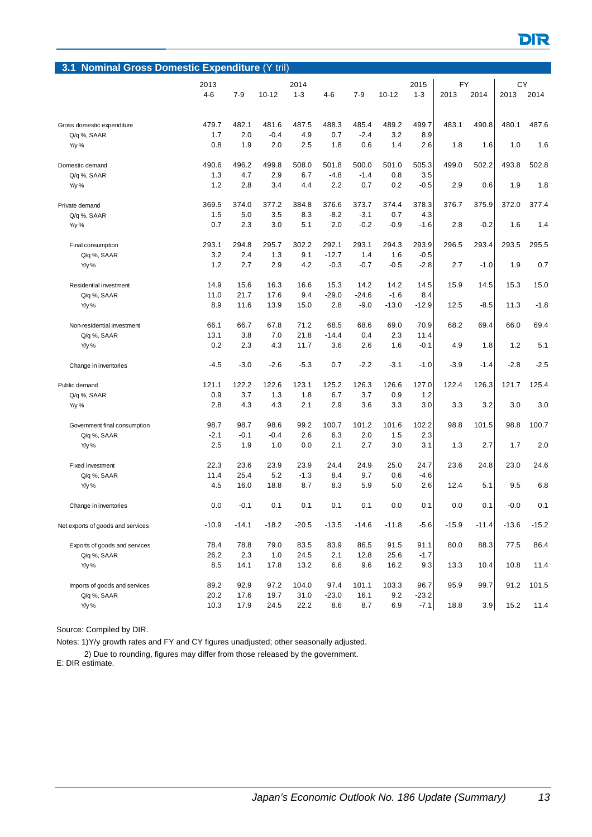| <b>Nominal Gross Domestic Expenditure (Y tril)</b><br>3.1 |         |         |           |                 |         |         |           |            |         |         |         |         |
|-----------------------------------------------------------|---------|---------|-----------|-----------------|---------|---------|-----------|------------|---------|---------|---------|---------|
|                                                           | 2013    |         |           | 2015            | FY      |         | СY        |            |         |         |         |         |
|                                                           | $4 - 6$ | $7-9$   | $10 - 12$ | 2014<br>$1 - 3$ | 4-6     | $7 - 9$ | $10 - 12$ | $1 - 3$    | 2013    | 2014    | 2013    | 2014    |
|                                                           |         |         |           |                 |         |         |           |            |         |         |         |         |
|                                                           |         |         |           |                 |         |         |           |            |         |         |         |         |
| Gross domestic expenditure                                | 479.7   | 482.1   | 481.6     | 487.5           | 488.3   | 485.4   | 489.2     | 499.7      | 483.1   | 490.8   | 480.1   | 487.6   |
| Q/q %, SAAR                                               | 1.7     | 2.0     | $-0.4$    | 4.9             | 0.7     | $-2.4$  | 3.2       | 8.9<br>2.6 |         |         |         |         |
| Y/y %                                                     | 0.8     | 1.9     | 2.0       | 2.5             | 1.8     | 0.6     | 1.4       |            | 1.8     | 1.6     | 1.0     | 1.6     |
| Domestic demand                                           | 490.6   | 496.2   | 499.8     | 508.0           | 501.8   | 500.0   | 501.0     | 505.3      | 499.0   | 502.2   | 493.8   | 502.8   |
| Q/q %, SAAR                                               | 1.3     | 4.7     | 2.9       | 6.7             | $-4.8$  | $-1.4$  | 0.8       | 3.5        |         |         |         |         |
| Y/y %                                                     | 1.2     | 2.8     | 3.4       | 4.4             | 2.2     | 0.7     | 0.2       | $-0.5$     | 2.9     | 0.6     | 1.9     | 1.8     |
| Private demand                                            | 369.5   | 374.0   | 377.2     | 384.8           | 376.6   | 373.7   | 374.4     | 378.3      | 376.7   | 375.9   | 372.0   | 377.4   |
| Q/q %, SAAR                                               | 1.5     | 5.0     | 3.5       | 8.3             | $-8.2$  | $-3.1$  | 0.7       | 4.3        |         |         |         |         |
| Y/y %                                                     | 0.7     | 2.3     | 3.0       | 5.1             | 2.0     | $-0.2$  | $-0.9$    | $-1.6$     | 2.8     | $-0.2$  | 1.6     | 1.4     |
|                                                           |         |         |           |                 |         |         |           |            |         |         |         |         |
| Final consumption                                         | 293.1   | 294.8   | 295.7     | 302.2           | 292.1   | 293.1   | 294.3     | 293.9      | 296.5   | 293.4   | 293.5   | 295.5   |
| Q/q %, SAAR                                               | 3.2     | 2.4     | 1.3       | 9.1             | $-12.7$ | 1.4     | 1.6       | $-0.5$     |         |         |         |         |
| Y/y %                                                     | 1.2     | 2.7     | 2.9       | 4.2             | $-0.3$  | $-0.7$  | $-0.5$    | $-2.8$     | 2.7     | $-1.0$  | 1.9     | 0.7     |
| Residential investment                                    | 14.9    | 15.6    | 16.3      | 16.6            | 15.3    | 14.2    | 14.2      | 14.5       | 15.9    | 14.5    | 15.3    | 15.0    |
| Q/q %, SAAR                                               | 11.0    | 21.7    | 17.6      | 9.4             | $-29.0$ | $-24.6$ | $-1.6$    | 8.4        |         |         |         |         |
| Y/y %                                                     | 8.9     | 11.6    | 13.9      | 15.0            | 2.8     | $-9.0$  | $-13.0$   | $-12.9$    | 12.5    | $-8.5$  | 11.3    | $-1.8$  |
| Non-residential investment                                | 66.1    | 66.7    | 67.8      | 71.2            | 68.5    | 68.6    | 69.0      | 70.9       | 68.2    | 69.4    | 66.0    | 69.4    |
| Q/q %, SAAR                                               | 13.1    | 3.8     | 7.0       | 21.8            | $-14.4$ | 0.4     | 2.3       | 11.4       |         |         |         |         |
| Y/y %                                                     | 0.2     | 2.3     | 4.3       | 11.7            | 3.6     | 2.6     | 1.6       | $-0.1$     | 4.9     | 1.8     | 1.2     | 5.1     |
|                                                           |         |         |           |                 |         |         |           |            |         |         |         |         |
| Change in inventories                                     | -4.5    | $-3.0$  | $-2.6$    | $-5.3$          | 0.7     | $-2.2$  | $-3.1$    | $-1.0$     | $-3.9$  | $-1.4$  | $-2.8$  | $-2.5$  |
| Public demand                                             | 121.1   | 122.2   | 122.6     | 123.1           | 125.2   | 126.3   | 126.6     | 127.0      | 122.4   | 126.3   | 121.7   | 125.4   |
| Q/q %, SAAR                                               | 0.9     | 3.7     | 1.3       | 1.8             | 6.7     | 3.7     | 0.9       | 1.2        |         |         |         |         |
| Y/y %                                                     | 2.8     | 4.3     | 4.3       | 2.1             | 2.9     | 3.6     | 3.3       | 3.0        | 3.3     | 3.2     | 3.0     | 3.0     |
|                                                           |         |         |           |                 |         |         |           |            |         |         |         |         |
| Government final consumption                              | 98.7    | 98.7    | 98.6      | 99.2            | 100.7   | 101.2   | 101.6     | 102.2      | 98.8    | 101.5   | 98.8    | 100.7   |
| Q/q %, SAAR                                               | $-2.1$  | $-0.1$  | $-0.4$    | 2.6             | 6.3     | 2.0     | 1.5       | 2.3        |         |         |         |         |
| Y/y %                                                     | 2.5     | 1.9     | 1.0       | 0.0             | 2.1     | 2.7     | 3.0       | 3.1        | 1.3     | 2.7     | 1.7     | 2.0     |
| <b>Fixed investment</b>                                   | 22.3    | 23.6    | 23.9      | 23.9            | 24.4    | 24.9    | 25.0      | 24.7       | 23.6    | 24.8    | 23.0    | 24.6    |
| Q/q %, SAAR                                               | 11.4    | 25.4    | 5.2       | $-1.3$          | 8.4     | 9.7     | 0.6       | $-4.6$     |         |         |         |         |
| Y/y %                                                     | 4.5     | 16.0    | 18.8      | 8.7             | 8.3     | 5.9     | 5.0       | 2.6        | 12.4    | 5.1     | 9.5     | 6.8     |
|                                                           |         |         |           |                 | 0.1     |         |           |            |         |         |         |         |
| Change in inventories                                     | 0.0     | $-0.1$  | 0.1       | 0.1             |         | 0.1     | 0.0       | 0.1        | 0.0     | 0.1     | $-0.0$  | 0.1     |
| Net exports of goods and services                         | $-10.9$ | $-14.1$ | $-18.2$   | $-20.5$         | $-13.5$ | $-14.6$ | $-11.8$   | $-5.6$     | $-15.9$ | $-11.4$ | $-13.6$ | $-15.2$ |
|                                                           |         |         |           |                 |         |         |           |            |         |         |         |         |
| Exports of goods and services                             | 78.4    | 78.8    | 79.0      | 83.5            | 83.9    | 86.5    | 91.5      | 91.1       | 80.0    | 88.3    | 77.5    | 86.4    |
| Q/q %, SAAR                                               | 26.2    | 2.3     | 1.0       | 24.5            | 2.1     | 12.8    | 25.6      | $-1.7$     |         |         |         |         |
| Y/y %                                                     | $8.5\,$ | 14.1    | 17.8      | 13.2            | 6.6     | 9.6     | 16.2      | 9.3        | 13.3    | 10.4    | 10.8    | 11.4    |
| Imports of goods and services                             | 89.2    | 92.9    | 97.2      | 104.0           | 97.4    | 101.1   | 103.3     | 96.7       | 95.9    | 99.7    | 91.2    | 101.5   |
| Q/q %, SAAR                                               | 20.2    | 17.6    | 19.7      | 31.0            | $-23.0$ | 16.1    | 9.2       | $-23.2$    |         |         |         |         |
| Y/y %                                                     | 10.3    | 17.9    | 24.5      | 22.2            | 8.6     | 8.7     | 6.9       | $-7.1$     | 18.8    | 3.9     | 15.2    | 11.4    |

Notes: 1)Y/y growth rates and FY and CY figures unadjusted; other seasonally adjusted.

2) Due to rounding, figures may differ from those released by the government.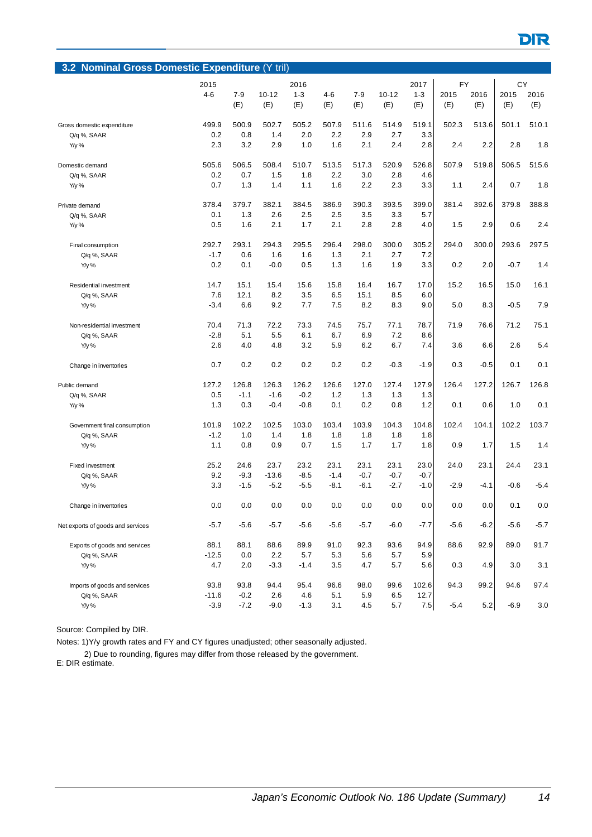| 3.2 Nominal Gross Domestic Expenditure (Y tril) |               |            |            |            |            |            |            |            |           |        |        |        |
|-------------------------------------------------|---------------|------------|------------|------------|------------|------------|------------|------------|-----------|--------|--------|--------|
|                                                 | 2015          |            |            | 2016       |            |            |            | 2017       | <b>FY</b> |        | CY     |        |
|                                                 | $4 - 6$       | $7-9$      | $10 - 12$  | $1 - 3$    | $4-6$      | $7 - 9$    | $10 - 12$  | $1 - 3$    | 2015      | 2016   | 2015   | 2016   |
|                                                 |               | (E)        | (E)        | (E)        | (E)        | (E)        | (E)        | (E)        | (E)       | (E)    | (E)    | (E)    |
|                                                 |               |            |            |            |            |            |            |            |           |        |        |        |
| Gross domestic expenditure                      | 499.9         | 500.9      | 502.7      | 505.2      | 507.9      | 511.6      | 514.9      | 519.1      | 502.3     | 513.6  | 501.1  | 510.1  |
| Q/q %, SAAR                                     | 0.2           | 0.8        | 1.4        | 2.0        | 2.2        | 2.9        | 2.7        | 3.3        |           |        |        |        |
| Y/y %                                           | 2.3           | 3.2        | 2.9        | 1.0        | 1.6        | 2.1        | 2.4        | 2.8        | 2.4       | 2.2    | 2.8    | 1.8    |
|                                                 |               |            |            |            |            |            |            |            |           |        |        |        |
| Domestic demand                                 | 505.6         | 506.5      | 508.4      | 510.7      | 513.5      | 517.3      | 520.9      | 526.8      | 507.9     | 519.8  | 506.5  | 515.6  |
| Q/q %, SAAR                                     | 0.2           | 0.7        | 1.5        | 1.8        | 2.2        | 3.0        | 2.8        | 4.6        |           |        |        |        |
| Y/y %                                           | 0.7           | 1.3        | 1.4        | 1.1        | 1.6        | 2.2        | 2.3        | 3.3        | 1.1       | 2.4    | 0.7    | 1.8    |
| Private demand                                  | 378.4         | 379.7      | 382.1      | 384.5      | 386.9      | 390.3      | 393.5      | 399.0      | 381.4     | 392.6  | 379.8  | 388.8  |
| Q/q %, SAAR                                     | 0.1           | 1.3        | 2.6        | 2.5        | 2.5        | 3.5        | 3.3        | 5.7        |           |        |        |        |
| Y/y %                                           | 0.5           | 1.6        | 2.1        | 1.7        | 2.1        | 2.8        | 2.8        | 4.0        | 1.5       | 2.9    | 0.6    | 2.4    |
|                                                 |               |            |            |            |            |            |            |            |           |        |        |        |
| Final consumption                               | 292.7         | 293.1      | 294.3      | 295.5      | 296.4      | 298.0      | 300.0      | 305.2      | 294.0     | 300.0  | 293.6  | 297.5  |
| Q/q %, SAAR                                     | $-1.7$        | 0.6        | 1.6        | 1.6        | 1.3        | 2.1        | 2.7        | 7.2        |           |        |        |        |
| Y/y %                                           | 0.2           | 0.1        | $-0.0$     | 0.5        | 1.3        | 1.6        | 1.9        | 3.3        | 0.2       | 2.0    | $-0.7$ | 1.4    |
|                                                 |               |            |            |            |            |            |            |            |           |        |        |        |
| Residential investment                          | 14.7          | 15.1       | 15.4       | 15.6       | 15.8       | 16.4       | 16.7       | 17.0       | 15.2      | 16.5   | 15.0   | 16.1   |
| Q/q %, SAAR                                     | 7.6           | 12.1       | 8.2        | 3.5        | 6.5        | 15.1       | 8.5        | 6.0        |           |        |        |        |
| Y/y %                                           | $-3.4$        | 6.6        | 9.2        | 7.7        | 7.5        | 8.2        | 8.3        | 9.0        | 5.0       | 8.3    | $-0.5$ | 7.9    |
| Non-residential investment                      | 70.4          | 71.3       | 72.2       | 73.3       | 74.5       | 75.7       | 77.1       | 78.7       | 71.9      | 76.6   | 71.2   | 75.1   |
| Q/q %, SAAR                                     | $-2.8$        | 5.1        | 5.5        | 6.1        | 6.7        | 6.9        | 7.2        | 8.6        |           |        |        |        |
| $Y/y$ %                                         | 2.6           | 4.0        | 4.8        | 3.2        | 5.9        | 6.2        | 6.7        | 7.4        | 3.6       | 6.6    | 2.6    | 5.4    |
|                                                 |               |            |            |            |            |            |            |            |           |        |        |        |
| Change in inventories                           | 0.7           | 0.2        | 0.2        | 0.2        | 0.2        | 0.2        | $-0.3$     | $-1.9$     | 0.3       | $-0.5$ | 0.1    | 0.1    |
|                                                 |               |            |            |            |            |            |            |            |           |        |        |        |
| Public demand                                   | 127.2         | 126.8      | 126.3      | 126.2      | 126.6      | 127.0      | 127.4      | 127.9      | 126.4     | 127.2  | 126.7  | 126.8  |
| Q/q %, SAAR                                     | 0.5           | $-1.1$     | $-1.6$     | $-0.2$     | 1.2        | 1.3        | 1.3        | 1.3        |           |        |        |        |
| Y/y %                                           | 1.3           | 0.3        | $-0.4$     | $-0.8$     | 0.1        | 0.2        | 0.8        | 1.2        | 0.1       | 0.6    | 1.0    | 0.1    |
|                                                 |               |            |            |            |            |            |            |            |           |        |        |        |
| Government final consumption                    | 101.9         | 102.2      | 102.5      | 103.0      | 103.4      | 103.9      | 104.3      | 104.8      | 102.4     | 104.1  | 102.2  | 103.7  |
| Q/q %, SAAR                                     | $-1.2$<br>1.1 | 1.0<br>0.8 | 1.4<br>0.9 | 1.8<br>0.7 | 1.8<br>1.5 | 1.8<br>1.7 | 1.8<br>1.7 | 1.8<br>1.8 | 0.9       | 1.7    | 1.5    | 1.4    |
| Y/y %                                           |               |            |            |            |            |            |            |            |           |        |        |        |
| <b>Fixed investment</b>                         | 25.2          | 24.6       | 23.7       | 23.2       | 23.1       | 23.1       | 23.1       | 23.0       | 24.0      | 23.1   | 24.4   | 23.1   |
| Q/q %, SAAR                                     | 9.2           | $-9.3$     | $-13.6$    | $-8.5$     | $-1.4$     | $-0.7$     | $-0.7$     | $-0.7$     |           |        |        |        |
| $Y/y$ %                                         | 3.3           | $-1.5$     | $-5.2$     | $-5.5$     | $-8.1$     | $-6.1$     | $-2.7$     | $-1.0$     | $-2.9$    | $-4.1$ | $-0.6$ | $-5.4$ |
|                                                 |               |            |            |            |            |            |            |            |           |        |        |        |
| Change in inventories                           | 0.0           | 0.0        | 0.0        | 0.0        | 0.0        | 0.0        | 0.0        | 0.0        | 0.0       | 0.0    | 0.1    | 0.0    |
|                                                 |               |            |            |            |            |            |            |            |           |        |        |        |
| Net exports of goods and services               | $-5.7$        | $-5.6$     | $-5.7$     | $-5.6$     | $-5.6$     | $-5.7$     | $-6.0$     | $-7.7$     | $-5.6$    | $-6.2$ | $-5.6$ | $-5.7$ |
|                                                 |               |            |            |            |            |            |            |            |           |        |        |        |
| Exports of goods and services                   | 88.1          | 88.1       | 88.6       | 89.9       | 91.0       | 92.3       | 93.6       | 94.9       | 88.6      | 92.9   | 89.0   | 91.7   |
| Q/q %, SAAR                                     | $-12.5$       | 0.0        | 2.2        | 5.7        | 5.3        | 5.6        | 5.7        | 5.9        |           |        |        |        |
| Y/y %                                           | 4.7           | 2.0        | $-3.3$     | $-1.4$     | 3.5        | 4.7        | 5.7        | 5.6        | 0.3       | 4.9    | 3.0    | 3.1    |
| Imports of goods and services                   | 93.8          | 93.8       | 94.4       | 95.4       | 96.6       | 98.0       | 99.6       | 102.6      | 94.3      | 99.2   | 94.6   | 97.4   |
| Q/q %, SAAR                                     | $-11.6$       | $-0.2$     | 2.6        | 4.6        | 5.1        | 5.9        | 6.5        | 12.7       |           |        |        |        |
| Y/y %                                           | $-3.9$        | $-7.2$     | $-9.0$     | $-1.3$     | 3.1        | 4.5        | 5.7        | $7.5\,$    | $-5.4$    | 5.2    | $-6.9$ | 3.0    |
|                                                 |               |            |            |            |            |            |            |            |           |        |        |        |

Notes: 1)Y/y growth rates and FY and CY figures unadjusted; other seasonally adjusted.

2) Due to rounding, figures may differ from those released by the government.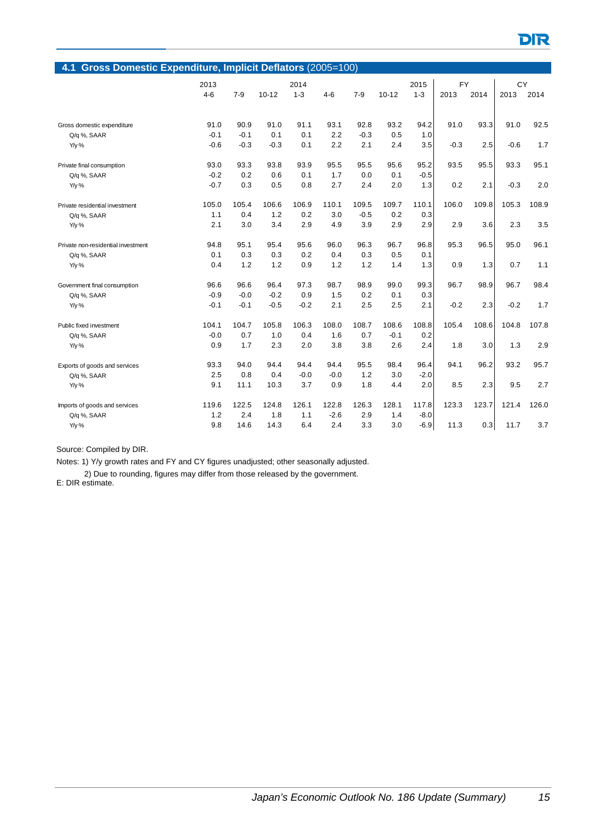| 4.1 Gross Domestic Expenditure, Implicit Deflators (2005=100) |         |         |           |         |         |         |           |         |           |       |        |       |  |
|---------------------------------------------------------------|---------|---------|-----------|---------|---------|---------|-----------|---------|-----------|-------|--------|-------|--|
|                                                               | 2013    |         |           | 2014    |         |         |           | 2015    | <b>FY</b> |       | CY     |       |  |
|                                                               | $4 - 6$ | $7 - 9$ | $10 - 12$ | $1 - 3$ | $4 - 6$ | $7 - 9$ | $10 - 12$ | $1 - 3$ | 2013      | 2014  | 2013   | 2014  |  |
|                                                               |         |         |           |         |         |         |           |         |           |       |        |       |  |
| Gross domestic expenditure                                    | 91.0    | 90.9    | 91.0      | 91.1    | 93.1    | 92.8    | 93.2      | 94.2    | 91.0      | 93.3  | 91.0   | 92.5  |  |
| Q/q %, SAAR                                                   | $-0.1$  | $-0.1$  | 0.1       | 0.1     | 2.2     | $-0.3$  | 0.5       | 1.0     |           |       |        |       |  |
| Y/y %                                                         | $-0.6$  | $-0.3$  | $-0.3$    | 0.1     | 2.2     | 2.1     | 2.4       | 3.5     | $-0.3$    | 2.5   | $-0.6$ | 1.7   |  |
| Private final consumption                                     | 93.0    | 93.3    | 93.8      | 93.9    | 95.5    | 95.5    | 95.6      | 95.2    | 93.5      | 95.5  | 93.3   | 95.1  |  |
| Q/q %, SAAR                                                   | $-0.2$  | 0.2     | 0.6       | 0.1     | 1.7     | 0.0     | 0.1       | $-0.5$  |           |       |        |       |  |
| Y/y %                                                         | $-0.7$  | 0.3     | 0.5       | 0.8     | 2.7     | 2.4     | 2.0       | 1.3     | 0.2       | 2.1   | $-0.3$ | 2.0   |  |
| Private residential investment                                | 105.0   | 105.4   | 106.6     | 106.9   | 110.1   | 109.5   | 109.7     | 110.1   | 106.0     | 109.8 | 105.3  | 108.9 |  |
| Q/q %, SAAR                                                   | 1.1     | 0.4     | 1.2       | 0.2     | 3.0     | $-0.5$  | 0.2       | 0.3     |           |       |        |       |  |
| Y/y %                                                         | 2.1     | 3.0     | 3.4       | 2.9     | 4.9     | 3.9     | 2.9       | 2.9     | 2.9       | 3.6   | 2.3    | 3.5   |  |
| Private non-residential investment                            | 94.8    | 95.1    | 95.4      | 95.6    | 96.0    | 96.3    | 96.7      | 96.8    | 95.3      | 96.5  | 95.0   | 96.1  |  |
| Q/q %, SAAR                                                   | 0.1     | 0.3     | 0.3       | 0.2     | 0.4     | 0.3     | 0.5       | 0.1     |           |       |        |       |  |
| Y/y %                                                         | 0.4     | 1.2     | 1.2       | 0.9     | 1.2     | 1.2     | 1.4       | 1.3     | 0.9       | 1.3   | 0.7    | 1.1   |  |
| Government final consumption                                  | 96.6    | 96.6    | 96.4      | 97.3    | 98.7    | 98.9    | 99.0      | 99.3    | 96.7      | 98.9  | 96.7   | 98.4  |  |
| Q/q %, SAAR                                                   | $-0.9$  | $-0.0$  | $-0.2$    | 0.9     | 1.5     | 0.2     | 0.1       | 0.3     |           |       |        |       |  |
| Y/y %                                                         | $-0.1$  | $-0.1$  | $-0.5$    | $-0.2$  | 2.1     | 2.5     | 2.5       | 2.1     | $-0.2$    | 2.3   | $-0.2$ | 1.7   |  |
| Public fixed investment                                       | 104.1   | 104.7   | 105.8     | 106.3   | 108.0   | 108.7   | 108.6     | 108.8   | 105.4     | 108.6 | 104.8  | 107.8 |  |
| Q/q %, SAAR                                                   | $-0.0$  | 0.7     | 1.0       | 0.4     | 1.6     | 0.7     | $-0.1$    | 0.2     |           |       |        |       |  |
| Y/y %                                                         | 0.9     | 1.7     | 2.3       | 2.0     | 3.8     | 3.8     | 2.6       | 2.4     | 1.8       | 3.0   | 1.3    | 2.9   |  |
| Exports of goods and services                                 | 93.3    | 94.0    | 94.4      | 94.4    | 94.4    | 95.5    | 98.4      | 96.4    | 94.1      | 96.2  | 93.2   | 95.7  |  |
| Q/q %, SAAR                                                   | 2.5     | 0.8     | 0.4       | $-0.0$  | $-0.0$  | 1.2     | 3.0       | $-2.0$  |           |       |        |       |  |
| Y/y %                                                         | 9.1     | 11.1    | 10.3      | 3.7     | 0.9     | 1.8     | 4.4       | 2.0     | 8.5       | 2.3   | 9.5    | 2.7   |  |
| Imports of goods and services                                 | 119.6   | 122.5   | 124.8     | 126.1   | 122.8   | 126.3   | 128.1     | 117.8   | 123.3     | 123.7 | 121.4  | 126.0 |  |
| Q/q %, SAAR                                                   | 1.2     | 2.4     | 1.8       | 1.1     | $-2.6$  | 2.9     | 1.4       | $-8.0$  |           |       |        |       |  |
| Y/y %                                                         | 9.8     | 14.6    | 14.3      | 6.4     | 2.4     | 3.3     | 3.0       | $-6.9$  | 11.3      | 0.3   | 11.7   | 3.7   |  |

Notes: 1) Y/y growth rates and FY and CY figures unadjusted; other seasonally adjusted.

2) Due to rounding, figures may differ from those released by the government.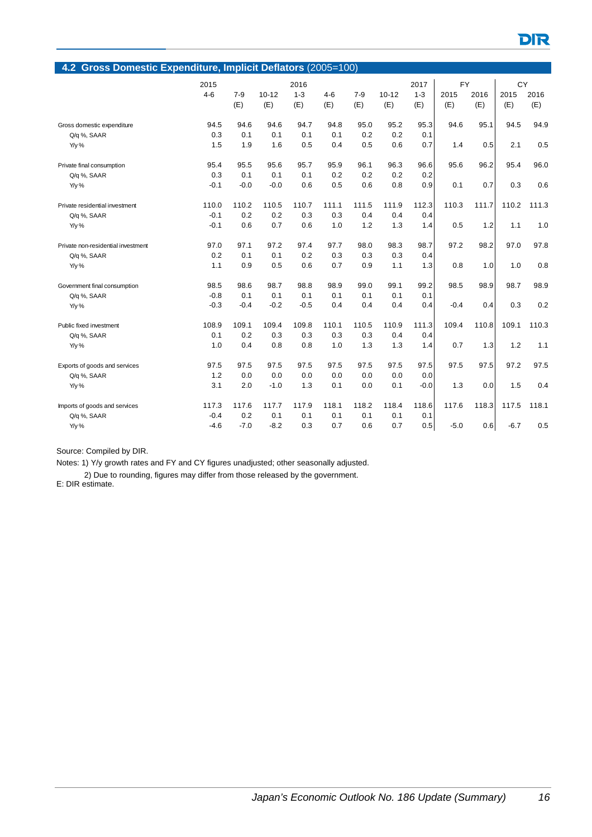|                                    | 4.2 Gross Domestic Expenditure, Implicit Deflators (2005=100) |         |           |         |         |       |           |         |           |       |        |       |  |  |
|------------------------------------|---------------------------------------------------------------|---------|-----------|---------|---------|-------|-----------|---------|-----------|-------|--------|-------|--|--|
|                                    | 2015                                                          |         |           | 2016    |         |       |           | 2017    | <b>FY</b> |       | CY     |       |  |  |
|                                    | $4 - 6$                                                       | $7 - 9$ | $10 - 12$ | $1 - 3$ | $4 - 6$ | $7-9$ | $10 - 12$ | $1 - 3$ | 2015      | 2016  | 2015   | 2016  |  |  |
|                                    |                                                               | (E)     | (E)       | (E)     | (E)     | (E)   | (E)       | (E)     | (E)       | (E)   | (E)    | (E)   |  |  |
| Gross domestic expenditure         | 94.5                                                          | 94.6    | 94.6      | 94.7    | 94.8    | 95.0  | 95.2      | 95.3    | 94.6      | 95.1  | 94.5   | 94.9  |  |  |
| Q/q %, SAAR                        | 0.3                                                           | 0.1     | 0.1       | 0.1     | 0.1     | 0.2   | 0.2       | 0.1     |           |       |        |       |  |  |
| Y/y %                              | 1.5                                                           | 1.9     | 1.6       | 0.5     | 0.4     | 0.5   | 0.6       | 0.7     | 1.4       | 0.5   | 2.1    | 0.5   |  |  |
| Private final consumption          | 95.4                                                          | 95.5    | 95.6      | 95.7    | 95.9    | 96.1  | 96.3      | 96.6    | 95.6      | 96.2  | 95.4   | 96.0  |  |  |
| Q/q %, SAAR                        | 0.3                                                           | 0.1     | 0.1       | 0.1     | 0.2     | 0.2   | 0.2       | 0.2     |           |       |        |       |  |  |
| Y/y %                              | $-0.1$                                                        | $-0.0$  | $-0.0$    | 0.6     | 0.5     | 0.6   | 0.8       | 0.9     | 0.1       | 0.7   | 0.3    | 0.6   |  |  |
| Private residential investment     | 110.0                                                         | 110.2   | 110.5     | 110.7   | 111.1   | 111.5 | 111.9     | 112.3   | 110.3     | 111.7 | 110.2  | 111.3 |  |  |
| Q/q %, SAAR                        | $-0.1$                                                        | 0.2     | 0.2       | 0.3     | 0.3     | 0.4   | 0.4       | 0.4     |           |       |        |       |  |  |
| Y/y %                              | $-0.1$                                                        | 0.6     | 0.7       | 0.6     | 1.0     | 1.2   | 1.3       | 1.4     | 0.5       | 1.2   | 1.1    | 1.0   |  |  |
| Private non-residential investment | 97.0                                                          | 97.1    | 97.2      | 97.4    | 97.7    | 98.0  | 98.3      | 98.7    | 97.2      | 98.2  | 97.0   | 97.8  |  |  |
| Q/q %, SAAR                        | 0.2                                                           | 0.1     | 0.1       | 0.2     | 0.3     | 0.3   | 0.3       | 0.4     |           |       |        |       |  |  |
| Y/y %                              | 1.1                                                           | 0.9     | 0.5       | 0.6     | 0.7     | 0.9   | 1.1       | 1.3     | 0.8       | 1.0   | 1.0    | 0.8   |  |  |
| Government final consumption       | 98.5                                                          | 98.6    | 98.7      | 98.8    | 98.9    | 99.0  | 99.1      | 99.2    | 98.5      | 98.9  | 98.7   | 98.9  |  |  |
| Q/q %, SAAR                        | $-0.8$                                                        | 0.1     | 0.1       | 0.1     | 0.1     | 0.1   | 0.1       | 0.1     |           |       |        |       |  |  |
| Y/y %                              | $-0.3$                                                        | $-0.4$  | $-0.2$    | $-0.5$  | 0.4     | 0.4   | 0.4       | 0.4     | $-0.4$    | 0.4   | 0.3    | 0.2   |  |  |
| Public fixed investment            | 108.9                                                         | 109.1   | 109.4     | 109.8   | 110.1   | 110.5 | 110.9     | 111.3   | 109.4     | 110.8 | 109.1  | 110.3 |  |  |
| Q/q %, SAAR                        | 0.1                                                           | 0.2     | 0.3       | 0.3     | 0.3     | 0.3   | 0.4       | 0.4     |           |       |        |       |  |  |
| Y/y %                              | 1.0                                                           | 0.4     | 0.8       | 0.8     | 1.0     | 1.3   | 1.3       | 1.4     | 0.7       | 1.3   | 1.2    | 1.1   |  |  |
| Exports of goods and services      | 97.5                                                          | 97.5    | 97.5      | 97.5    | 97.5    | 97.5  | 97.5      | 97.5    | 97.5      | 97.5  | 97.2   | 97.5  |  |  |
| Q/q %, SAAR                        | 1.2                                                           | 0.0     | 0.0       | 0.0     | 0.0     | 0.0   | 0.0       | 0.0     |           |       |        |       |  |  |
| Y/y %                              | 3.1                                                           | 2.0     | $-1.0$    | 1.3     | 0.1     | 0.0   | 0.1       | $-0.0$  | 1.3       | 0.0   | 1.5    | 0.4   |  |  |
| Imports of goods and services      | 117.3                                                         | 117.6   | 117.7     | 117.9   | 118.1   | 118.2 | 118.4     | 118.6   | 117.6     | 118.3 | 117.5  | 118.1 |  |  |
| Q/q %, SAAR                        | $-0.4$                                                        | 0.2     | 0.1       | 0.1     | 0.1     | 0.1   | 0.1       | 0.1     |           |       |        |       |  |  |
| Y/y %                              | $-4.6$                                                        | $-7.0$  | $-8.2$    | 0.3     | 0.7     | 0.6   | 0.7       | 0.5     | $-5.0$    | 0.6   | $-6.7$ | 0.5   |  |  |

Notes: 1) Y/y growth rates and FY and CY figures unadjusted; other seasonally adjusted.

2) Due to rounding, figures may differ from those released by the government.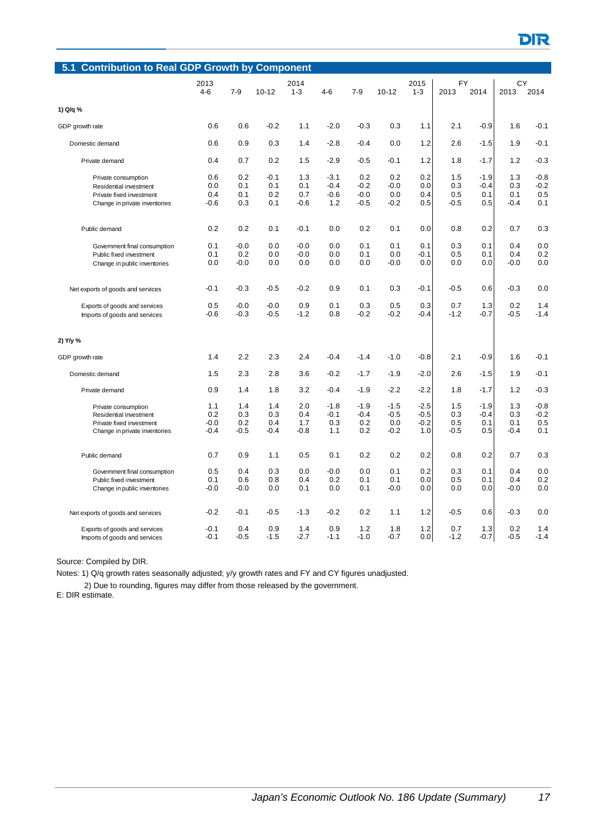| 5.1                               | <b>Contribution to Real GDP Growth by Component</b> |               |               |               |               |               |               |            |               |               |               |               |  |  |
|-----------------------------------|-----------------------------------------------------|---------------|---------------|---------------|---------------|---------------|---------------|------------|---------------|---------------|---------------|---------------|--|--|
|                                   | 2013                                                |               |               | 2014          |               |               |               | 2015       | <b>FY</b>     |               | CY            |               |  |  |
|                                   | $4 - 6$                                             | $7 - 9$       | $10 - 12$     | $1 - 3$       | $4 - 6$       | $7-9$         | $10 - 12$     | $1 - 3$    | 2013          | 2014          | 2013          | 2014          |  |  |
| 1) Q/q %                          |                                                     |               |               |               |               |               |               |            |               |               |               |               |  |  |
| GDP growth rate                   | 0.6                                                 | 0.6           | $-0.2$        | 1.1           | $-2.0$        | $-0.3$        | 0.3           | 1.1        | 2.1           | $-0.9$        | 1.6           | $-0.1$        |  |  |
| Domestic demand                   | 0.6                                                 | 0.9           | 0.3           | 1.4           | $-2.8$        | $-0.4$        | 0.0           | 1.2        | 2.6           | $-1.5$        | 1.9           | $-0.1$        |  |  |
| Private demand                    | 0.4                                                 | 0.7           | 0.2           | 1.5           | $-2.9$        | $-0.5$        | $-0.1$        | 1.2        | 1.8           | $-1.7$        | 1.2           | $-0.3$        |  |  |
| Private consumption               | 0.6                                                 | 0.2           | $-0.1$        | 1.3           | $-3.1$        | 0.2           | 0.2           | 0.2        | 1.5           | $-1.9$        | 1.3           | $-0.8$        |  |  |
| Residential investment            | 0.0                                                 | 0.1           | 0.1           | 0.1           | $-0.4$        | $-0.2$        | $-0.0$        | 0.0        | 0.3           | $-0.4$        | 0.3           | $-0.2$        |  |  |
| Private fixed investment          | 0.4                                                 | 0.1           | 0.2           | 0.7           | $-0.6$        | $-0.0$        | 0.0           | 0.4        | 0.5           | 0.1           | 0.1           | 0.5           |  |  |
|                                   |                                                     | 0.3           | 0.1           | $-0.6$        |               | $-0.5$        | $-0.2$        |            | $-0.5$        |               | $-0.4$        | 0.1           |  |  |
| Change in private inventories     | -0.6                                                |               |               |               | 1.2           |               |               | 0.5        |               | 0.5           |               |               |  |  |
| Public demand                     | 0.2                                                 | 0.2           | 0.1           | $-0.1$        | 0.0           | 0.2           | 0.1           | 0.0        | 0.8           | 0.2           | 0.7           | 0.3           |  |  |
| Government final consumption      | 0.1                                                 | $-0.0$        | 0.0           | $-0.0$        | 0.0           | 0.1           | 0.1           | 0.1        | 0.3           | 0.1           | 0.4           | 0.0           |  |  |
| Public fixed investment           | 0.1                                                 | 0.2           | 0.0           | $-0.0$        | 0.0           | 0.1           | 0.0           | -0.1       | 0.5           | 0.1           | 0.4           | 0.2           |  |  |
| Change in public inventories      | 0.0                                                 | $-0.0$        | 0.0           | 0.0           | 0.0           | 0.0           | $-0.0$        | 0.0        | 0.0           | 0.0           | $-0.0$        | 0.0           |  |  |
|                                   |                                                     |               |               |               |               |               |               |            |               |               |               |               |  |  |
| Net exports of goods and services | $-0.1$                                              | $-0.3$        | $-0.5$        | $-0.2$        | 0.9           | 0.1           | 0.3           | $-0.1$     | $-0.5$        | 0.6           | $-0.3$        | 0.0           |  |  |
| Exports of goods and services     | 0.5                                                 | $-0.0$        | $-0.0$        | 0.9           | 0.1           | 0.3           | 0.5           | 0.3        | 0.7           | 1.3           | 0.2           | 1.4           |  |  |
| Imports of goods and services     | $-0.6$                                              | $-0.3$        | $-0.5$        | $-1.2$        | 0.8           | $-0.2$        | $-0.2$        | $-0.4$     | $-1.2$        | $-0.7$        | $-0.5$        | $-1.4$        |  |  |
| 2) Y/y %                          |                                                     |               |               |               |               |               |               |            |               |               |               |               |  |  |
| GDP growth rate                   | 1.4                                                 | 2.2           | 2.3           | 2.4           | $-0.4$        | $-1.4$        | $-1.0$        | $-0.8$     | 2.1           | $-0.9$        | 1.6           | -0.1          |  |  |
| Domestic demand                   | 1.5                                                 | 2.3           | 2.8           | 3.6           | $-0.2$        | $-1.7$        | $-1.9$        | $-2.0$     | 2.6           | -1.5          | 1.9           | $-0.1$        |  |  |
| Private demand                    | 0.9                                                 | 1.4           | 1.8           | 3.2           | $-0.4$        | $-1.9$        | $-2.2$        | $-2.2$     | 1.8           | -1.7          | 1.2           | $-0.3$        |  |  |
| Private consumption               | 1.1                                                 | 1.4           | 1.4           | 2.0           | $-1.8$        | $-1.9$        | $-1.5$        | $-2.5$     | 1.5           | $-1.9$        | 1.3           | $-0.8$        |  |  |
| Residential investment            | 0.2                                                 | 0.3           | 0.3           | 0.4           | $-0.1$        | $-0.4$        | $-0.5$        | $-0.5$     | 0.3           | $-0.4$        | 0.3           | $-0.2$        |  |  |
| Private fixed investment          | $-0.0$                                              | 0.2           | 0.4           | 1.7           | 0.3           | 0.2           | 0.0           | $-0.2$     | 0.5           | 0.1           | 0.1           | 0.5           |  |  |
| Change in private inventories     | -0.4                                                | -0.5          | $-0.4$        | $-0.8$        | 1.1           | 0.2           | $-0.2$        | 1.0        | $-0.5$        | 0.5           | $-0.4$        | 0.1           |  |  |
| Public demand                     | 0.7                                                 | 0.9           | 1.1           | 0.5           | 0.1           | 0.2           | 0.2           | 0.2        | 0.8           | 0.2           | 0.7           | 0.3           |  |  |
| Government final consumption      | 0.5                                                 | 0.4           | 0.3           | 0.0           | $-0.0$        | 0.0           | 0.1           | 0.2        | 0.3           | 0.1           | 0.4           | 0.0           |  |  |
| Public fixed investment           | 0.1                                                 | 0.6           | 0.8           | 0.4           | 0.2           | 0.1           | 0.1           | 0.0        | 0.5           | 0.1           | 0.4           | 0.2           |  |  |
| Change in public inventories      | -0.0                                                | $-0.0$        | 0.0           | 0.1           | 0.0           | 0.1           | $-0.0$        | 0.0        | 0.0           | 0.0           | $-0.0$        | 0.0           |  |  |
| Net exports of goods and services | $-0.2$                                              | $-0.1$        | $-0.5$        | $-1.3$        | $-0.2$        | 0.2           | 1.1           | 1.2        | $-0.5$        | 0.6           | $-0.3$        | 0.0           |  |  |
|                                   |                                                     |               |               |               |               |               |               |            |               |               |               |               |  |  |
| Exports of goods and services     | $-0.1$<br>$-0.1$                                    | 0.4<br>$-0.5$ | 0.9<br>$-1.5$ | 1.4<br>$-2.7$ | 0.9<br>$-1.1$ | 1.2<br>$-1.0$ | 1.8<br>$-0.7$ | 1.2<br>0.0 | 0.7<br>$-1.2$ | 1.3<br>$-0.7$ | 0.2<br>$-0.5$ | 1.4<br>$-1.4$ |  |  |
| Imports of goods and services     |                                                     |               |               |               |               |               |               |            |               |               |               |               |  |  |

Notes: 1) Q/q growth rates seasonally adjusted; y/y growth rates and FY and CY figures unadjusted.

2) Due to rounding, figures may differ from those released by the government.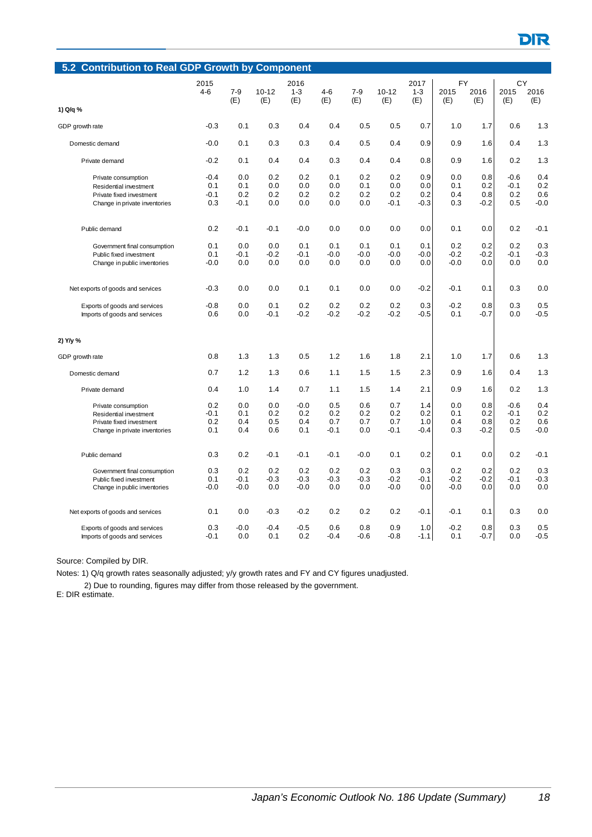| <b>Contribution to Real GDP Growth by Component</b><br>5.2 |         |         |           |         |         |         |           |         |        |        |        |        |  |
|------------------------------------------------------------|---------|---------|-----------|---------|---------|---------|-----------|---------|--------|--------|--------|--------|--|
|                                                            | 2015    |         |           | 2016    |         |         |           | 2017    | FY     |        | CY     |        |  |
|                                                            | $4 - 6$ | $7 - 9$ | $10 - 12$ | $1 - 3$ | $4 - 6$ | $7 - 9$ | $10 - 12$ | $1 - 3$ | 2015   | 2016   | 2015   | 2016   |  |
| 1) Q/q %                                                   |         | (E)     | (E)       | (E)     | (E)     | (E)     | (E)       | (E)     | (E)    | (E)    | (E)    | (E)    |  |
|                                                            |         |         |           |         |         |         |           |         |        |        |        |        |  |
| GDP growth rate                                            | $-0.3$  | 0.1     | 0.3       | 0.4     | 0.4     | 0.5     | 0.5       | 0.7     | 1.0    | 1.7    | 0.6    | 1.3    |  |
| Domestic demand                                            | $-0.0$  | 0.1     | 0.3       | 0.3     | 0.4     | 0.5     | 0.4       | 0.9     | 0.9    | 1.6    | 0.4    | 1.3    |  |
| Private demand                                             | $-0.2$  | 0.1     | 0.4       | 0.4     | 0.3     | 0.4     | 0.4       | 0.8     | 0.9    | 1.6    | 0.2    | 1.3    |  |
| Private consumption                                        | $-0.4$  | 0.0     | 0.2       | 0.2     | 0.1     | 0.2     | 0.2       | 0.9     | 0.0    | 0.8    | $-0.6$ | 0.4    |  |
| Residential investment                                     | 0.1     | 0.1     | 0.0       | 0.0     | 0.0     | 0.1     | 0.0       | 0.0     | 0.1    | 0.2    | $-0.1$ | 0.2    |  |
| Private fixed investment                                   | $-0.1$  | 0.2     | 0.2       | 0.2     | 0.2     | 0.2     | 0.2       | 0.2     | 0.4    | 0.8    | 0.2    | 0.6    |  |
| Change in private inventories                              | 0.3     | $-0.1$  | 0.0       | 0.0     | 0.0     | 0.0     | $-0.1$    | $-0.3$  | 0.3    | $-0.2$ | 0.5    | $-0.0$ |  |
| Public demand                                              | 0.2     | $-0.1$  | $-0.1$    | $-0.0$  | 0.0     | 0.0     | 0.0       | 0.0     | 0.1    | 0.0    | 0.2    | $-0.1$ |  |
| Government final consumption                               | 0.1     | 0.0     | 0.0       | 0.1     | 0.1     | 0.1     | 0.1       | 0.1     | 0.2    | 0.2    | 0.2    | 0.3    |  |
| Public fixed investment                                    | 0.1     | -0.1    | $-0.2$    | $-0.1$  | $-0.0$  | $-0.0$  | $-0.0$    | $-0.0$  | $-0.2$ | $-0.2$ | $-0.1$ | $-0.3$ |  |
|                                                            | $-0.0$  | 0.0     | 0.0       | 0.0     | 0.0     | 0.0     | 0.0       | 0.0     | $-0.0$ | 0.0    | 0.0    | 0.0    |  |
| Change in public inventories                               |         |         |           |         |         |         |           |         |        |        |        |        |  |
| Net exports of goods and services                          | $-0.3$  | 0.0     | 0.0       | 0.1     | 0.1     | 0.0     | 0.0       | $-0.2$  | $-0.1$ | 0.1    | 0.3    | 0.0    |  |
| Exports of goods and services                              | $-0.8$  | 0.0     | 0.1       | 0.2     | 0.2     | 0.2     | 0.2       | 0.3     | $-0.2$ | 0.8    | 0.3    | 0.5    |  |
| Imports of goods and services                              | 0.6     | 0.0     | $-0.1$    | $-0.2$  | $-0.2$  | $-0.2$  | $-0.2$    | $-0.5$  | 0.1    | $-0.7$ | 0.0    | $-0.5$ |  |
| 2) Y/y %                                                   |         |         |           |         |         |         |           |         |        |        |        |        |  |
| GDP growth rate                                            | 0.8     | 1.3     | 1.3       | 0.5     | 1.2     | 1.6     | 1.8       | 2.1     | 1.0    | 1.7    | 0.6    | 1.3    |  |
| Domestic demand                                            | 0.7     | 1.2     | 1.3       | 0.6     | 1.1     | 1.5     | 1.5       | 2.3     | 0.9    | 1.6    | 0.4    | 1.3    |  |
| Private demand                                             | 0.4     | 1.0     | 1.4       | 0.7     | 1.1     | 1.5     | 1.4       | 2.1     | 0.9    | 1.6    | 0.2    | 1.3    |  |
| Private consumption                                        | 0.2     | 0.0     | 0.0       | $-0.0$  | 0.5     | 0.6     | 0.7       | 1.4     | 0.0    | 0.8    | $-0.6$ | 0.4    |  |
| Residential investment                                     | $-0.1$  | 0.1     | 0.2       | 0.2     | 0.2     | 0.2     | 0.2       | 0.2     | 0.1    | 0.2    | $-0.1$ | 0.2    |  |
| Private fixed investment                                   | 0.2     | 0.4     | 0.5       | 0.4     | 0.7     | 0.7     | 0.7       | 1.0     | 0.4    | 0.8    | 0.2    | 0.6    |  |
| Change in private inventories                              | 0.1     | 0.4     | 0.6       | 0.1     | $-0.1$  | 0.0     | $-0.1$    | -0.4    | 0.3    | $-0.2$ | 0.5    | $-0.0$ |  |
| Public demand                                              | 0.3     | 0.2     | $-0.1$    | $-0.1$  | $-0.1$  | $-0.0$  | 0.1       | 0.2     | 0.1    | 0.0    | 0.2    | $-0.1$ |  |
| Government final consumption                               | 0.3     | 0.2     | 0.2       | 0.2     | 0.2     | 0.2     | 0.3       | 0.3     | 0.2    | 0.2    | 0.2    | 0.3    |  |
| Public fixed investment                                    | 0.1     | $-0.1$  | $-0.3$    | $-0.3$  | $-0.3$  | $-0.3$  | $-0.2$    | -0.1    | $-0.2$ | $-0.2$ | $-0.1$ | $-0.3$ |  |
| Change in public inventories                               | $-0.0$  | $-0.0$  | 0.0       | $-0.0$  | 0.0     | 0.0     | $-0.0$    | 0.0     | $-0.0$ | 0.0    | 0.0    | 0.0    |  |
| Net exports of goods and services                          | 0.1     | 0.0     | $-0.3$    | $-0.2$  | 0.2     | 0.2     | 0.2       | $-0.1$  | $-0.1$ | 0.1    | 0.3    | 0.0    |  |
| Exports of goods and services                              | 0.3     | $-0.0$  | $-0.4$    | $-0.5$  | 0.6     | 0.8     | 0.9       | 1.0     | $-0.2$ | 0.8    | 0.3    | 0.5    |  |
| Imports of goods and services                              | $-0.1$  | 0.0     | 0.1       | 0.2     | $-0.4$  | $-0.6$  | $-0.8$    | $-1.1$  | 0.1    | $-0.7$ | 0.0    | $-0.5$ |  |

Notes: 1) Q/q growth rates seasonally adjusted; y/y growth rates and FY and CY figures unadjusted.

2) Due to rounding, figures may differ from those released by the government.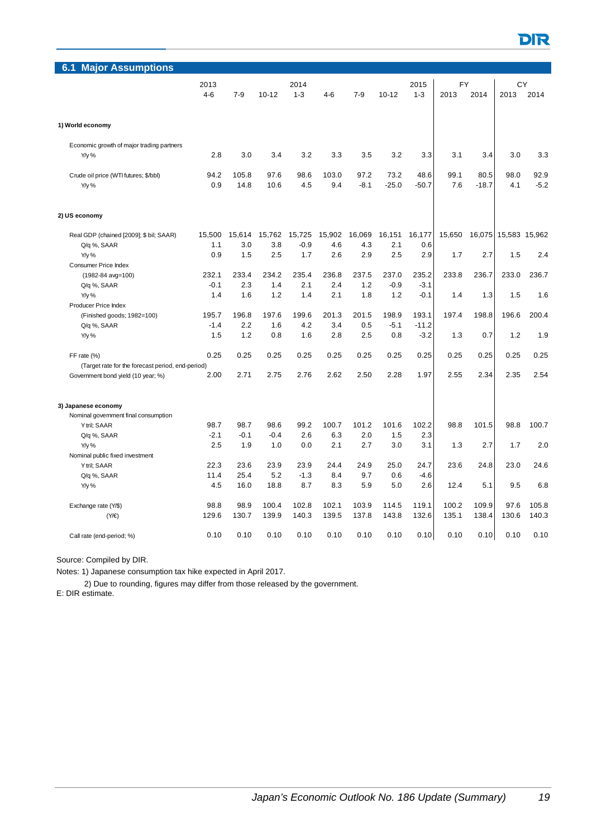

| <b>Major Assumptions</b><br>6.1                   |               |               |               |         |         |        |               |               |            |         |               |        |
|---------------------------------------------------|---------------|---------------|---------------|---------|---------|--------|---------------|---------------|------------|---------|---------------|--------|
|                                                   | 2013          |               |               | 2014    |         |        |               | 2015          |            |         |               |        |
|                                                   | $4 - 6$       | $7-9$         | $10 - 12$     | $1 - 3$ | $4 - 6$ | $7-9$  | $10 - 12$     | $1 - 3$       | FY<br>2013 | 2014    | CY<br>2013    | 2014   |
|                                                   |               |               |               |         |         |        |               |               |            |         |               |        |
|                                                   |               |               |               |         |         |        |               |               |            |         |               |        |
| 1) World economy                                  |               |               |               |         |         |        |               |               |            |         |               |        |
| Economic growth of major trading partners         |               |               |               |         |         |        |               |               |            |         |               |        |
| Y/y %                                             | 2.8           | 3.0           | 3.4           | 3.2     | 3.3     | 3.5    | 3.2           | 3.3           | 3.1        | 3.4     | 3.0           | 3.3    |
|                                                   |               |               |               |         |         |        |               |               |            |         |               |        |
| Crude oil price (WTI futures; \$/bbl)             | 94.2          | 105.8         | 97.6          | 98.6    | 103.0   | 97.2   | 73.2          | 48.6          | 99.1       | 80.5    | 98.0          | 92.9   |
| $Y/y$ %                                           | 0.9           | 14.8          | 10.6          | 4.5     | 9.4     | $-8.1$ | $-25.0$       | $-50.7$       | 7.6        | $-18.7$ | 4.1           | $-5.2$ |
| 2) US economy                                     |               |               |               |         |         |        |               |               |            |         |               |        |
|                                                   |               |               |               | 15,725  | 15,902  | 16,069 |               |               |            |         |               |        |
| Real GDP (chained [2009]; \$ bil; SAAR)           | 15,500<br>1.1 | 15,614<br>3.0 | 15,762<br>3.8 | $-0.9$  | 4.6     | 4.3    | 16,151<br>2.1 | 16,177<br>0.6 | 15,650     | 16,075  | 15,583 15,962 |        |
| Q/q %, SAAR<br>Y/y %                              | 0.9           | 1.5           | 2.5           | 1.7     | 2.6     | 2.9    | 2.5           | 2.9           | 1.7        | 2.7     | 1.5           | 2.4    |
| Consumer Price Index                              |               |               |               |         |         |        |               |               |            |         |               |        |
| (1982-84 avg=100)                                 | 232.1         | 233.4         | 234.2         | 235.4   | 236.8   | 237.5  | 237.0         | 235.2         | 233.8      | 236.7   | 233.0         | 236.7  |
| Q/q %, SAAR                                       | $-0.1$        | 2.3           | 1.4           | 2.1     | 2.4     | 1.2    | $-0.9$        | $-3.1$        |            |         |               |        |
| $Y/y$ %                                           | 1.4           | 1.6           | 1.2           | 1.4     | 2.1     | 1.8    | 1.2           | $-0.1$        | 1.4        | 1.3     | 1.5           | 1.6    |
| Producer Price Index                              |               |               |               |         |         |        |               |               |            |         |               |        |
| (Finished goods; 1982=100)                        | 195.7         | 196.8         | 197.6         | 199.6   | 201.3   | 201.5  | 198.9         | 193.1         | 197.4      | 198.8   | 196.6         | 200.4  |
| Q/q %, SAAR                                       | $-1.4$        | 2.2           | 1.6           | 4.2     | 3.4     | 0.5    | $-5.1$        | $-11.2$       |            |         |               |        |
| $Y/y$ %                                           | 1.5           | 1.2           | 0.8           | 1.6     | 2.8     | 2.5    | 0.8           | $-3.2$        | 1.3        | 0.7     | 1.2           | 1.9    |
| FF rate (%)                                       | 0.25          | 0.25          | 0.25          | 0.25    | 0.25    | 0.25   | 0.25          | 0.25          | 0.25       | 0.25    | 0.25          | 0.25   |
| (Target rate for the forecast period, end-period) |               |               |               |         |         |        |               |               |            |         |               |        |
| Government bond yield (10 year; %)                | 2.00          | 2.71          | 2.75          | 2.76    | 2.62    | 2.50   | 2.28          | 1.97          | 2.55       | 2.34    | 2.35          | 2.54   |
| 3) Japanese economy                               |               |               |               |         |         |        |               |               |            |         |               |        |
| Nominal government final consumption              |               |               |               |         |         |        |               |               |            |         |               |        |
| Y tril; SAAR                                      | 98.7          | 98.7          | 98.6          | 99.2    | 100.7   | 101.2  | 101.6         | 102.2         | 98.8       | 101.5   | 98.8          | 100.7  |
| Q/q %, SAAR                                       | $-2.1$        | $-0.1$        | $-0.4$        | 2.6     | 6.3     | 2.0    | 1.5           | 2.3           |            |         |               |        |
| Y/y %                                             | 2.5           | 1.9           | 1.0           | 0.0     | 2.1     | 2.7    | 3.0           | 3.1           | 1.3        | 2.7     | 1.7           | 2.0    |
| Nominal public fixed investment                   |               |               |               |         |         |        |               |               |            |         |               |        |
| Y tril; SAAR                                      | 22.3          | 23.6          | 23.9          | 23.9    | 24.4    | 24.9   | 25.0          | 24.7          | 23.6       | 24.8    | 23.0          | 24.6   |
| Q/q %, SAAR                                       | 11.4          | 25.4          | 5.2           | $-1.3$  | 8.4     | 9.7    | 0.6           | $-4.6$        |            |         |               |        |
| Y/y %                                             | 4.5           | 16.0          | 18.8          | 8.7     | 8.3     | 5.9    | 5.0           | 2.6           | 12.4       | 5.1     | 9.5           | 6.8    |
| Exchange rate (Y/\$)                              | 98.8          | 98.9          | 100.4         | 102.8   | 102.1   | 103.9  | 114.5         | 119.1         | 100.2      | 109.9   | 97.6          | 105.8  |
| (Y/E)                                             | 129.6         | 130.7         | 139.9         | 140.3   | 139.5   | 137.8  | 143.8         | 132.6         | 135.1      | 138.4   | 130.6         | 140.3  |
| Call rate (end-period; %)                         | 0.10          | 0.10          | 0.10          | 0.10    | 0.10    | 0.10   | 0.10          | 0.10          | 0.10       | 0.10    | 0.10          | 0.10   |

Notes: 1) Japanese consumption tax hike expected in April 2017.

2) Due to rounding, figures may differ from those released by the government.